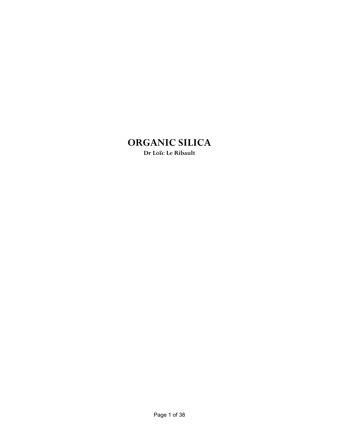# **ORGANIC SILICA**

**Dr Loïc Le Ribault**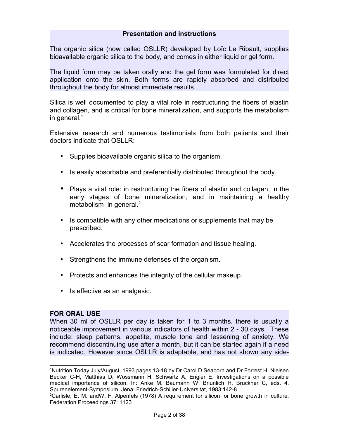### **Presentation and instructions**

The organic silica (now called OSLLR) developed by Loïc Le Ribault, supplies bioavailable organic silica to the body, and comes in either liquid or gel form.

The liquid form may be taken orally and the gel form was formulated for direct application onto the skin. Both forms are rapidly absorbed and distributed throughout the body for almost immediate results.

Silica is well documented to play a vital role in restructuring the fibers of elastin and collagen, and is critical for bone mineralization, and supports the metabolism in general. $1$ 

Extensive research and numerous testimonials from both patients and their doctors indicate that OSLLR:

- Supplies bioavailable organic silica to the organism.
- Is easily absorbable and preferentially distributed throughout the body.
- Plays a vital role: in restructuring the fibers of elastin and collagen, in the early stages of bone mineralization, and in maintaining a healthy metabolism in general. $2$
- Is compatible with any other medications or supplements that may be prescribed.
- Accelerates the processes of scar formation and tissue healing.
- Strengthens the immune defenses of the organism.
- Protects and enhances the integrity of the cellular makeup.
- Is effective as an analgesic.

### **FOR ORAL USE**

When 30 ml of OSLLR per day is taken for 1 to 3 months. there is usually a noticeable improvement in various indicators of health within 2 - 30 days. These include: sleep patterns, appetite, muscle tone and lessening of anxiety. We recommend discontinuing use after a month, but it can be started again if a need is indicated. However since OSLLR is adaptable, and has not shown any side-

<span id="page-1-0"></span><sup>1</sup>Nutrition Today,July/August, 1993 pages 13-18 by Dr.Carol D.Seaborn and Dr.Forrest H. Nielsen Becker C-H, Matthias D, Wossmann H, Schwartz A, Engler E. Investigations on a possible medical importance of silicon. In: Anke M, Baumann W, Briunlich H, Bruckner C, eds. 4. Spurenelement-Symposium. Jena: Friedrich-Schiller-Universitat, 1983;142-8.

<span id="page-1-1"></span><sup>2</sup>Carlisle, E. M. andW. F. Alpenfels (1978) A requirement for silicon for bone growth in culture. Federation Proceedings 37: 1123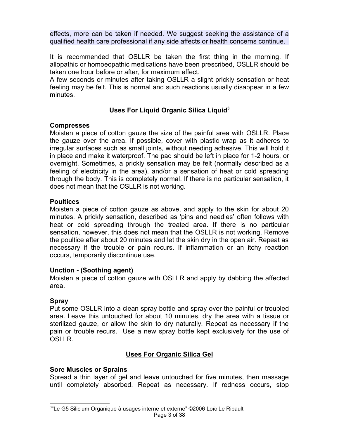effects, more can be taken if needed. We suggest seeking the assistance of a qualified health care professional if any side affects or health concerns continue.

It is recommended that OSLLR be taken the first thing in the morning. If allopathic or homoeopathic medications have been prescribed, OSLLR should be taken one hour before or after, for maximum effect.

A few seconds or minutes after taking OSLLR a slight prickly sensation or heat feeling may be felt. This is normal and such reactions usually disappear in a few minutes.

## **Uses For Liquid Organic Silica Liquid<sup>3</sup>**

## **Compresses**

Moisten a piece of cotton gauze the size of the painful area with OSLLR. Place the gauze over the area. If possible, cover with plastic wrap as it adheres to irregular surfaces such as small joints, without needing adhesive. This will hold it in place and make it waterproof. The pad should be left in place for 1-2 hours, or overnight. Sometimes, a prickly sensation may be felt (normally described as a feeling of electricity in the area), and/or a sensation of heat or cold spreading through the body. This is completely normal. If there is no particular sensation, it does not mean that the OSLLR is not working.

## **Poultices**

Moisten a piece of cotton gauze as above, and apply to the skin for about 20 minutes. A prickly sensation, described as 'pins and needles' often follows with heat or cold spreading through the treated area. If there is no particular sensation, however, this does not mean that the OSLLR is not working. Remove the poultice after about 20 minutes and let the skin dry in the open air. Repeat as necessary if the trouble or pain recurs. If inflammation or an itchy reaction occurs, temporarily discontinue use.

## **Unction - (Soothing agent)**

Moisten a piece of cotton gauze with OSLLR and apply by dabbing the affected area.

## **Spray**

Put some OSLLR into a clean spray bottle and spray over the painful or troubled area. Leave this untouched for about 10 minutes, dry the area with a tissue or sterilized gauze, or allow the skin to dry naturally. Repeat as necessary if the pain or trouble recurs. Use a new spray bottle kept exclusively for the use of OSLLR.

# **Uses For Organic Silica Gel**

## **Sore Muscles or Sprains**

Spread a thin layer of gel and leave untouched for five minutes, then massage until completely absorbed. Repeat as necessary. If redness occurs, stop

<span id="page-2-0"></span>3 "Le G5 Silicium Organique à usages interne et externe" ©2006 Loïc Le Ribault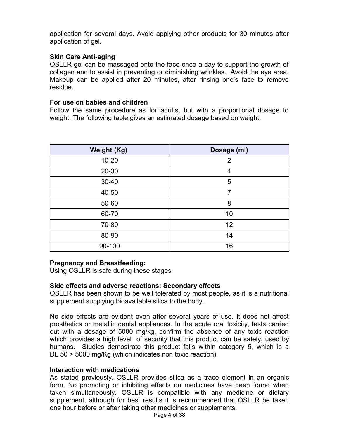application for several days. Avoid applying other products for 30 minutes after application of gel.

### **Skin Care Anti-aging**

OSLLR gel can be massaged onto the face once a day to support the growth of collagen and to assist in preventing or diminishing wrinkles. Avoid the eye area. Makeup can be applied after 20 minutes, after rinsing one's face to remove residue.

### **For use on babies and children**

Follow the same procedure as for adults, but with a proportional dosage to weight. The following table gives an estimated dosage based on weight.

| <b>Weight (Kg)</b> | Dosage (ml) |  |
|--------------------|-------------|--|
| $10 - 20$          | 2           |  |
| 20-30              | 4           |  |
| $30 - 40$          | 5           |  |
| 40-50              | 7           |  |
| 50-60              | 8           |  |
| 60-70              | 10          |  |
| 70-80              | 12          |  |
| 80-90              | 14          |  |
| 90-100             | 16          |  |

## **Pregnancy and Breastfeeding:**

Using OSLLR is safe during these stages

### **Side effects and adverse reactions: Secondary effects**

OSLLR has been shown to be well tolerated by most people, as it is a nutritional supplement supplying bioavailable silica to the body.

No side effects are evident even after several years of use. It does not affect prosthetics or metallic dental appliances. In the acute oral toxicity, tests carried out with a dosage of 5000 mg/kg, confirm the absence of any toxic reaction which provides a high level of security that this product can be safely, used by humans. Studies demostrate this product falls within category 5, which is a DL 50 > 5000 mg/Kg (which indicates non toxic reaction).

### **Interaction with medications**

As stated previously, OSLLR provides silica as a trace element in an organic form. No promoting or inhibiting effects on medicines have been found when taken simultaneously. OSLLR is compatible with any medicine or dietary supplement, although for best results it is recommended that OSLLR be taken one hour before or after taking other medicines or supplements.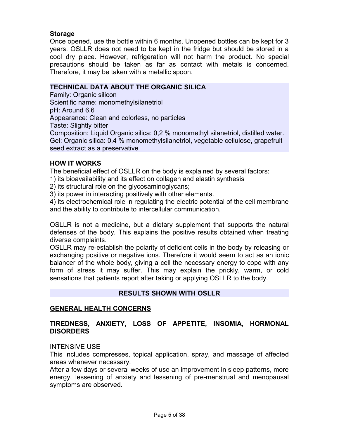## **Storage**

Once opened, use the bottle within 6 months. Unopened bottles can be kept for 3 years. OSLLR does not need to be kept in the fridge but should be stored in a cool dry place. However, refrigeration will not harm the product. No special precautions should be taken as far as contact with metals is concerned. Therefore, it may be taken with a metallic spoon.

### **TECHNICAL DATA ABOUT THE ORGANIC SILICA**

Family: Organic silicon Scientific name: monomethylsilanetriol pH: Around 6.6 Appearance: Clean and colorless, no particles Taste: Slightly bitter Composition: Liquid Organic silica: 0,2 % monomethyl silanetriol, distilled water. Gel: Organic silica: 0,4 % monomethylsilanetriol, vegetable cellulose, grapefruit seed extract as a preservative

### **HOW IT WORKS**

The beneficial effect of OSLLR on the body is explained by several factors:

1) its bioavailability and its effect on collagen and elastin synthesis

2) its structural role on the glycosaminoglycans;

3) its power in interacting positively with other elements.

4) its electrochemical role in regulating the electric potential of the cell membrane and the ability to contribute to intercellular communication.

OSLLR is not a medicine, but a dietary supplement that supports the natural defenses of the body. This explains the positive results obtained when treating diverse complaints.

OSLLR may re-establish the polarity of deficient cells in the body by releasing or exchanging positive or negative ions. Therefore it would seem to act as an ionic balancer of the whole body, giving a cell the necessary energy to cope with any form of stress it may suffer. This may explain the prickly, warm, or cold sensations that patients report after taking or applying OSLLR to the body.

## **RESULTS SHOWN WITH OSLLR**

## **GENERAL HEALTH CONCERNS**

# **TIREDNESS, ANXIETY, LOSS OF APPETITE, INSOMIA, HORMONAL DISORDERS**

### INTENSIVE USE

This includes compresses, topical application, spray, and massage of affected areas whenever necessary.

After a few days or several weeks of use an improvement in sleep patterns, more energy, lessening of anxiety and lessening of pre-menstrual and menopausal symptoms are observed.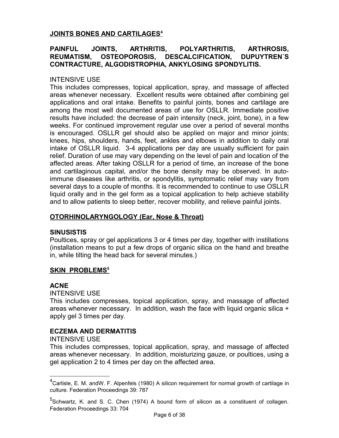## **JOINTS BONES AND CARTILAGES<sup>4</sup>**

## **PAINFUL JOINTS, ARTHRITIS, POLYARTHRITIS, ARTHROSIS, REUMATISM, OSTEOPOROSIS, DESCALCIFICATION, DUPUYTREN´S CONTRACTURE, ALGODISTROPHIA, ANKYLOSING SPONDYLITIS.**

## INTENSIVE USE

This includes compresses, topical application, spray, and massage of affected areas whenever necessary. Excellent results were obtained after combining gel applications and oral intake. Benefits to painful joints, bones and cartilage are among the most well documented areas of use for OSLLR. Immediate positive results have included: the decrease of pain intensity (neck, joint, bone), in a few weeks. For continued improvement regular use over a period of several months is encouraged. OSLLR gel should also be applied on major and minor joints; knees, hips, shoulders, hands, feet, ankles and elbows in addition to daily oral intake of OSLLR liquid. 3-4 applications per day are usually sufficient for pain relief. Duration of use may vary depending on the level of pain and location of the affected areas. After taking OSLLR for a period of time, an increase of the bone and cartilaginous capital, and/or the bone density may be observed. In autoimmune diseases like arthritis, or spondylitis, symptomatic relief may vary from several days to a couple of months. It is recommended to continue to use OSLLR liquid orally and in the gel form as a topical application to help achieve stability and to allow patients to sleep better, recover mobility, and relieve painful joints.

## **OTORHINOLARYNGOLOGY (Ear, Nose & Throat)**

## **SINUSISTIS**

Poultices, spray or gel applications 3 or 4 times per day, together with instillations (installation means to put a few drops of organic silica on the hand and breathe in, while tilting the head back for several minutes.)

# **SKIN PROBLEMS<sup>5</sup>**

## **ACNE**

INTENSIVE USE

This includes compresses, topical application, spray, and massage of affected areas whenever necessary. In addition, wash the face with liquid organic silica + apply gel 3 times per day.

## **ECZEMA AND DERMATITIS**

### INTENSIVE USE

This includes compresses, topical application, spray, and massage of affected areas whenever necessary. In addition, moisturizing gauze, or poultices, using a gel application 2 to 4 times per day on the affected area.

<span id="page-5-0"></span><sup>4</sup>Carlisle, E. M. andW. F. Alpenfels (1980) A silicon requirement for normal growth of cartilage in culture. Federation Proceedings 39: 787

<span id="page-5-1"></span><sup>&</sup>lt;sup>5</sup>Schwartz, K. and S. C. Chen (1974) A bound form of silicon as a constituent of collagen. Federation Proceedings 33: 704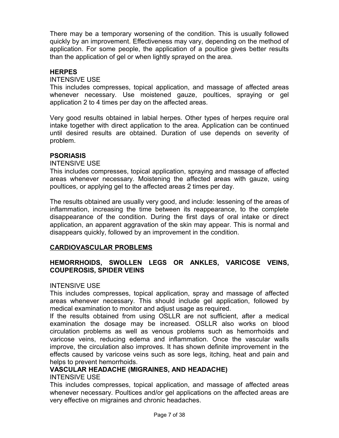There may be a temporary worsening of the condition. This is usually followed quickly by an improvement. Effectiveness may vary, depending on the method of application. For some people, the application of a poultice gives better results than the application of gel or when lightly sprayed on the area.

## **HERPES**

### INTENSIVE USE

This includes compresses, topical application, and massage of affected areas whenever necessary. Use moistened gauze, poultices, spraying or gel application 2 to 4 times per day on the affected areas.

Very good results obtained in labial herpes. Other types of herpes require oral intake together with direct application to the area. Application can be continued until desired results are obtained. Duration of use depends on severity of problem.

## **PSORIASIS**

### INTENSIVE USE

This includes compresses, topical application, spraying and massage of affected areas whenever necessary. Moistening the affected areas with gauze, using poultices, or applying gel to the affected areas 2 times per day.

The results obtained are usually very good, and include: lessening of the areas of inflammation, increasing the time between its reappearance, to the complete disappearance of the condition. During the first days of oral intake or direct application, an apparent aggravation of the skin may appear. This is normal and disappears quickly, followed by an improvement in the condition.

## **CARDIOVASCULAR PROBLEMS**

## **HEMORRHOIDS, SWOLLEN LEGS OR ANKLES, VARICOSE VEINS, COUPEROSIS, SPIDER VEINS**

## INTENSIVE USE

This includes compresses, topical application, spray and massage of affected areas whenever necessary. This should include gel application, followed by medical examination to monitor and adjust usage as required.

If the results obtained from using OSLLR are not sufficient, after a medical examination the dosage may be increased. OSLLR also works on blood circulation problems as well as venous problems such as hemorrhoids and varicose veins, reducing edema and inflammation. Once the vascular walls improve, the circulation also improves. It has shown definite improvement in the effects caused by varicose veins such as sore legs, itching, heat and pain and helps to prevent hemorrhoids.

## **VASCULAR HEADACHE (MIGRAINES, AND HEADACHE)**

## INTENSIVE USE

This includes compresses, topical application, and massage of affected areas whenever necessary. Poultices and/or gel applications on the affected areas are very effective on migraines and chronic headaches.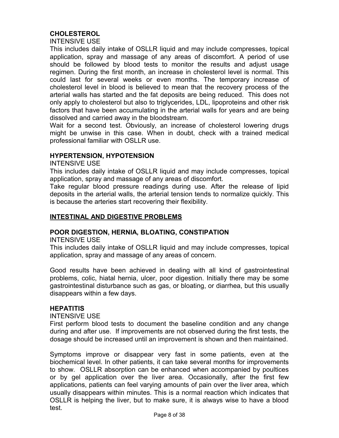# **CHOLESTEROL**

INTENSIVE USE

This includes daily intake of OSLLR liquid and may include compresses, topical application, spray and massage of any areas of discomfort. A period of use should be followed by blood tests to monitor the results and adjust usage regimen. During the first month, an increase in cholesterol level is normal. This could last for several weeks or even months. The temporary increase of cholesterol level in blood is believed to mean that the recovery process of the arterial walls has started and the fat deposits are being reduced. This does not only apply to cholesterol but also to triglycerides, LDL, lipoproteins and other risk factors that have been accumulating in the arterial walls for years and are being dissolved and carried away in the bloodstream.

Wait for a second test. Obviously, an increase of cholesterol lowering drugs might be unwise in this case. When in doubt, check with a trained medical professional familiar with OSLLR use.

### **HYPERTENSION, HYPOTENSION**

INTENSIVE USE

This includes daily intake of OSLLR liquid and may include compresses, topical application, spray and massage of any areas of discomfort.

Take regular blood pressure readings during use. After the release of lipid deposits in the arterial walls, the arterial tension tends to normalize quickly. This is because the arteries start recovering their flexibility.

## **INTESTINAL AND DIGESTIVE PROBLEMS**

## **POOR DIGESTION, HERNIA, BLOATING, CONSTIPATION**

INTENSIVE USE

This includes daily intake of OSLLR liquid and may include compresses, topical application, spray and massage of any areas of concern.

Good results have been achieved in dealing with all kind of gastrointestinal problems, colic, hiatal hernia, ulcer, poor digestion. Initially there may be some gastrointestinal disturbance such as gas, or bloating, or diarrhea, but this usually disappears within a few days.

### **HEPATITIS**

INTENSIVE USE

First perform blood tests to document the baseline condition and any change during and after use. If improvements are not observed during the first tests, the dosage should be increased until an improvement is shown and then maintained.

Symptoms improve or disappear very fast in some patients, even at the biochemical level. In other patients, it can take several months for improvements to show. OSLLR absorption can be enhanced when accompanied by poultices or by gel application over the liver area. Occasionally, after the first few applications, patients can feel varying amounts of pain over the liver area, which usually disappears within minutes. This is a normal reaction which indicates that OSLLR is helping the liver, but to make sure, it is always wise to have a blood test.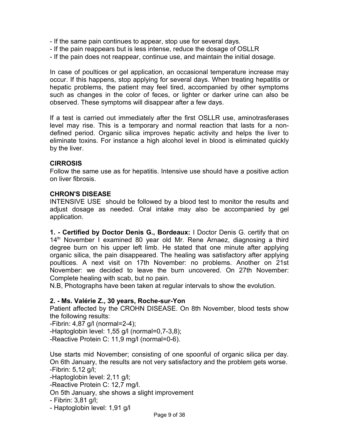- If the same pain continues to appear, stop use for several days.
- If the pain reappears but is less intense, reduce the dosage of OSLLR
- If the pain does not reappear, continue use, and maintain the initial dosage.

In case of poultices or gel application, an occasional temperature increase may occur. If this happens, stop applying for several days. When treating hepatitis or hepatic problems, the patient may feel tired, accompanied by other symptoms such as changes in the color of feces, or lighter or darker urine can also be observed. These symptoms will disappear after a few days.

If a test is carried out immediately after the first OSLLR use, aminotrasferases level may rise. This is a temporary and normal reaction that lasts for a nondefined period. Organic silica improves hepatic activity and helps the liver to eliminate toxins. For instance a high alcohol level in blood is eliminated quickly by the liver.

## **CIRROSIS**

Follow the same use as for hepatitis. Intensive use should have a positive action on liver fibrosis.

## **CHRON'S DISEASE**

INTENSIVE USE should be followed by a blood test to monitor the results and adjust dosage as needed. Oral intake may also be accompanied by gel application.

**1. - Certified by Doctor Denis G., Bordeaux:** I Doctor Denis G. certify that on 14<sup>th</sup> November I examined 80 year old Mr. Rene Arnaez, diagnosing a third degree burn on his upper left limb. He stated that one minute after applying organic silica, the pain disappeared. The healing was satisfactory after applying poultices. A next visit on 17th November: no problems. Another on 21st November: we decided to leave the burn uncovered. On 27th November: Complete healing with scab, but no pain.

N.B, Photographs have been taken at regular intervals to show the evolution.

## **2. - Ms. Valérie Z., 30 years, Roche-sur-Yon**

Patient affected by the CROHN DISEASE. On 8th November, blood tests show the following results:

-Fibrin: 4,87 g/l (normal=2-4);

-Haptoglobin level: 1,55 g/l (normal=0,7-3,8);

-Reactive Protein C: 11,9 mg/l (normal=0-6).

Use starts mid November; consisting of one spoonful of organic silica per day. On 6th January, the results are not very satisfactory and the problem gets worse. -Fibrin: 5,12 g/l;

-Haptoglobin level: 2,11 g/l;

-Reactive Protein C: 12,7 mg/l.

On 5th January, she shows a slight improvement

```
- Fibrin: 3,81 g/l;
```
- Haptoglobin level: 1,91 g/l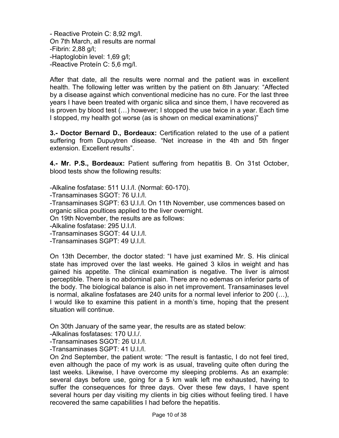- Reactive Protein C: 8,92 mg/l. On 7th March, all results are normal -Fibrin: 2,88 g/l; -Haptoglobin level: 1,69 g/l; -Reactive Proteín C: 5,6 mg/l.

After that date, all the results were normal and the patient was in excellent health. The following letter was written by the patient on 8th January: "Affected by a disease against which conventional medicine has no cure. For the last three years I have been treated with organic silica and since them, I have recovered as is proven by blood test (…) however; I stopped the use twice in a year. Each time I stopped, my health got worse (as is shown on medical examinations)"

**3.- Doctor Bernard D., Bordeaux:** Certification related to the use of a patient suffering from Dupuytren disease. "Net increase in the 4th and 5th finger extension. Excellent results".

**4.- Mr. P.S., Bordeaux:** Patient suffering from hepatitis B. On 31st October, blood tests show the following results:

-Alkaline fosfatase: 511 U.I./l. (Normal: 60-170).

-Transaminases SGOT: 76 U.I./l.

-Transaminases SGPT: 63 U.I./l. On 11th November, use commences based on organic silica poultices applied to the liver overnight.

On 19th November, the results are as follows:

-Alkaline fosfatase: 295 U.I./l.

-Transaminases SGOT: 44 U.I./l.

-Transaminases SGPT: 49 U.I./l.

On 13th December, the doctor stated: "I have just examined Mr. S. His clinical state has improved over the last weeks. He gained 3 kilos in weight and has gained his appetite. The clinical examination is negative. The liver is almost perceptible. There is no abdominal pain. There are no edemas on inferior parts of the body. The biological balance is also in net improvement. Transaminases level is normal, alkaline fosfatases are 240 units for a normal level inferior to 200 (…), I would like to examine this patient in a month's time, hoping that the present situation will continue.

On 30th January of the same year, the results are as stated below:

-Alkalinas fosfatases: 170 U.I./.

-Transaminases SGOT: 26 U.I./l.

-Transaminases SGPT: 41 U.I./l.

On 2nd September, the patient wrote: "The result is fantastic, I do not feel tired, even although the pace of my work is as usual, traveling quite often during the last weeks. Likewise, I have overcome my sleeping problems. As an example: several days before use, going for a 5 km walk left me exhausted, having to suffer the consequences for three days. Over these few days, I have spent several hours per day visiting my clients in big cities without feeling tired. I have recovered the same capabilities I had before the hepatitis.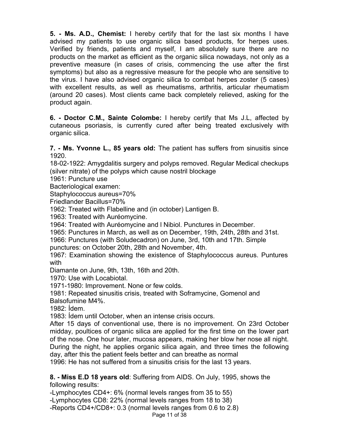**5. - Ms. A.D., Chemist:** I hereby certify that for the last six months I have advised my patients to use organic silica based products, for herpes uses. Verified by friends, patients and myself, I am absolutely sure there are no products on the market as efficient as the organic silica nowadays, not only as a preventive measure (in cases of crisis, commencing the use after the first symptoms) but also as a regressive measure for the people who are sensitive to the virus. I have also advised organic silica to combat herpes zoster (5 cases) with excellent results, as well as rheumatisms, arthritis, articular rheumatism (around 20 cases). Most clients came back completely relieved, asking for the product again.

**6. - Doctor C.M., Sainte Colombe:** I hereby certify that Ms J.L, affected by cutaneous psoriasis, is currently cured after being treated exclusively with organic silica.

**7. - Ms. Yvonne L., 85 years old:** The patient has suffers from sinusitis since 1920.

18-02-1922: Amygdalitis surgery and polyps removed. Regular Medical checkups (silver nitrate) of the polyps which cause nostril blockage

1961: Puncture use

Bacteriological examen:

Staphylococcus aureus=70%

Friedlander Bacillus=70%

1962: Treated with Flabelline and (in october) Lantigen B.

1963: Treated with Auréomycine.

1964: Treated with Auréomycine and l Nibiol. Punctures in December.

1965: Punctures in March, as well as on December, 19th, 24th, 28th and 31st.

1966: Punctures (with Soludecadron) on June, 3rd, 10th and 17th. Simple punctures: on October 20th, 28th and November, 4th.

1967: Examination showing the existence of Staphylococcus aureus. Puntures with

Diamante on June, 9th, 13th, 16th and 20th.

1970: Use with Locabiotal.

1971-1980: Improvement. None or few colds.

1981: Repeated sinusitis crisis, treated with Soframycine, Gomenol and

Balsofumine M4%.

1982: Ídem.

1983: Ídem until October, when an intense crisis occurs.

After 15 days of conventional use, there is no improvement. On 23rd October midday, poultices of organic silica are applied for the first time on the lower part of the nose. One hour later, mucosa appears, making her blow her nose all night. During the night, he applies organic silica again, and three times the following day, after this the patient feels better and can breathe as normal

1996: He has not suffered from a sinusitis crisis for the last 13 years.

**8. - Miss E.D 18 years old**: Suffering from AIDS. On July, 1995, shows the following results:

-Lymphocytes CD4+: 6% (normal levels ranges from 35 to 55)

-Lymphocytes CD8: 22% (normal levels ranges from 18 to 38)

-Reports CD4+/CD8+: 0.3 (normal levels ranges from 0.6 to 2.8)

Page 11 of 38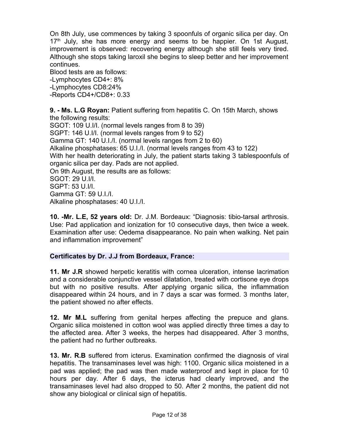On 8th July, use commences by taking 3 spoonfuls of organic silica per day. On  $17<sup>th</sup>$  July, she has more energy and seems to be happier. On 1st August, improvement is observed: recovering energy although she still feels very tired. Although she stops taking laroxil she begins to sleep better and her improvement continues.

Blood tests are as follows: -Lymphocytes CD4+: 8% -Lymphocytes CD8:24% -Reports CD4+/CD8+: 0.33

**9. - Ms. L.G Royan:** Patient suffering from hepatitis C. On 15th March, shows the following results: SGOT: 109 U.I/I. (normal levels ranges from 8 to 39) SGPT: 146 U.I/I. (normal levels ranges from 9 to 52) Gamma GT: 140 U.I./I. (normal levels ranges from 2 to 60) Alkaline phosphatases: 65 U.I./I. (normal levels ranges from 43 to 122) With her health deteriorating in July, the patient starts taking 3 tablespoonfuls of organic silica per day. Pads are not applied. On 9th August, the results are as follows: SGOT: 29 U.I/I. SGPT: 53 U.I/I. Gamma GT: 59 U.I./I. Alkaline phosphatases: 40 U.I./I.

**10. -Mr. L.E, 52 years old:** Dr. J.M. Bordeaux: "Diagnosis: tibio-tarsal arthrosis. Use: Pad application and ionization for 10 consecutive days, then twice a week. Examination after use: Oedema disappearance. No pain when walking. Net pain and inflammation improvement"

## **Certificates by Dr. J.J from Bordeaux, France:**

**11. Mr J.R** showed herpetic keratitis with cornea ulceration, intense lacrimation and a considerable conjunctive vessel dilatation, treated with cortisone eye drops but with no positive results. After applying organic silica, the inflammation disappeared within 24 hours, and in 7 days a scar was formed. 3 months later, the patient showed no after effects.

**12. Mr M.L** suffering from genital herpes affecting the prepuce and glans. Organic silica moistened in cotton wool was applied directly three times a day to the affected area. After 3 weeks, the herpes had disappeared. After 3 months, the patient had no further outbreaks.

**13. Mr. R.B** suffered from icterus. Examination confirmed the diagnosis of viral hepatitis. The transaminases level was high: 1100. Organic silica moistened in a pad was applied; the pad was then made waterproof and kept in place for 10 hours per day. After 6 days, the icterus had clearly improved, and the transaminases level had also dropped to 50. After 2 months, the patient did not show any biological or clinical sign of hepatitis.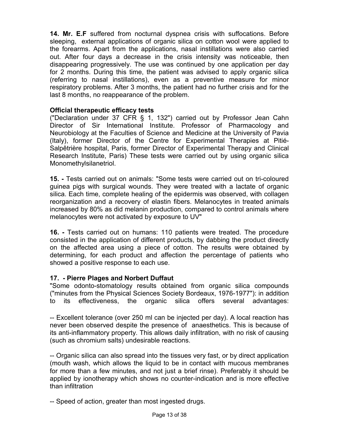**14. Mr. E.F** suffered from nocturnal dyspnea crisis with suffocations. Before sleeping, external applications of organic silica on cotton wool were applied to the forearms. Apart from the applications, nasal instillations were also carried out. After four days a decrease in the crisis intensity was noticeable, then disappearing progressively. The use was continued by one application per day for 2 months. During this time, the patient was advised to apply organic silica (referring to nasal instillations), even as a preventive measure for minor respiratory problems. After 3 months, the patient had no further crisis and for the last 8 months, no reappearance of the problem.

## **Official therapeutic efficacy tests**

("Declaration under 37 CFR § 1, 132") carried out by Professor Jean Cahn Director of Sir International Institute. Professor of Pharmacology and Neurobiology at the Faculties of Science and Medicine at the University of Pavia (Italy), former Director of the Centre for Experimental Therapies at Pitié-Salpêtrière hospital, Paris, former Director of Experimental Therapy and Clinical Research Institute, Paris) These tests were carried out by using organic silica Monomethylsilanetriol.

**15. -** Tests carried out on animals: "Some tests were carried out on tri-coloured guinea pigs with surgical wounds. They were treated with a lactate of organic silica. Each time, complete healing of the epidermis was observed, with collagen reorganization and a recovery of elastin fibers. Melanocytes in treated animals increased by 80% as did melanin production, compared to control animals where melanocytes were not activated by exposure to UV"

**16. -** Tests carried out on humans: 110 patients were treated. The procedure consisted in the application of different products, by dabbing the product directly on the affected area using a piece of cotton. The results were obtained by determining, for each product and affection the percentage of patients who showed a positive response to each use.

## **17. - Pierre Plages and Norbert Duffaut**

"Some odonto-stomatology results obtained from organic silica compounds ("minutes from the Physical Sciences Society Bordeaux, 1976-1977"): in addition to its effectiveness, the organic silica offers several advantages:

-- Excellent tolerance (over 250 ml can be injected per day). A local reaction has never been observed despite the presence of anaesthetics. This is because of its anti-inflammatory property. This allows daily infiltration, with no risk of causing (such as chromium salts) undesirable reactions.

-- Organic silica can also spread into the tissues very fast, or by direct application (mouth wash, which allows the liquid to be in contact with mucous membranes for more than a few minutes, and not just a brief rinse). Preferably it should be applied by ionotherapy which shows no counter-indication and is more effective than infiltration

-- Speed of action, greater than most ingested drugs.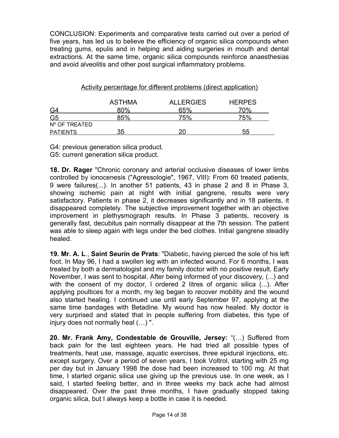CONCLUSION: Experiments and comparative tests carried out over a period of five years, has led us to believe the efficiency of organic silica compounds when treating gums, epulis and in helping and aiding surgeries in mouth and dental extractions. At the same time, organic silica compounds reinforce anaesthesias and avoid alveolitis and other post surgical inflammatory problems.

Activity percentage for different problems (direct application)

|                 | <b>ASTHMA</b> | <b>ALLERGIES</b> | <b>HERPES</b> |
|-----------------|---------------|------------------|---------------|
| G4              | 80%           | 65%              | 70%           |
| G <sub>5</sub>  | 85%           | 75%              | 75%           |
| Nº OF TREATED   |               |                  |               |
| <b>PATIENTS</b> | 35            | ንበ               | 55            |

G4: previous generation silica product. G5: current generation silica product.

**18. Dr. Rager** "Chronic coronary and arterial occlusive diseases of lower limbs controlled by ionocenesis ("Agressologie", 1967, VIII): From 60 treated patients, 9 were failures(...). In another 51 patients, 43 in phase 2 and 8 in Phase 3, showing ischemic pain at night with initial gangrene, results were very satisfactory. Patients in phase 2, it decreases significantly and in 18 patients, it disappeared completely. The subjective improvement together with an objective improvement in plethysmograph results. In Phase 3 patients, recovery is generally fast, decubitus pain normally disappear at the 7th session. The patient was able to sleep again with legs under the bed clothes. Initial gangrene steadily healed.

**19. Mr. A. L**., **Saint Seurin de Prats**: "Diabetic, having pierced the sole of his left foot. In May 96, I had a swollen leg with an infected wound. For 6 months, I was treated by both a dermatologist and my family doctor with no positive result. Early November, I was sent to hospital. After being informed of your discovery, (...) and with the consent of my doctor, I ordered 2 litres of organic silica (...). After applying poultices for a month, my leg began to recover mobility and the wound also started healing. I continued use until early September 97, applying at the same time bandages with Betadine. My wound has now healed. My doctor is very surprised and stated that in people suffering from diabetes, this type of injury does not normally heal (…) ".

**20. Mr. Frank Amy, Condestable de Grouville, Jersey:** "(…) Suffered from back pain for the last eighteen years. He had tried all possible types of treatments, heat use, massage, aquatic exercises, three epidural injections, etc. except surgery. Over a period of seven years, I took Voltrol, starting with 25 mg per day but in January 1998 the dose had been increased to 100 mg. At that time, I started organic silica use giving up the previous use. In one week, as I said, I started feeling better, and in three weeks my back ache had almost disappeared. Over the past three months, I have gradually stopped taking organic silica, but I always keep a bottle in case it is needed.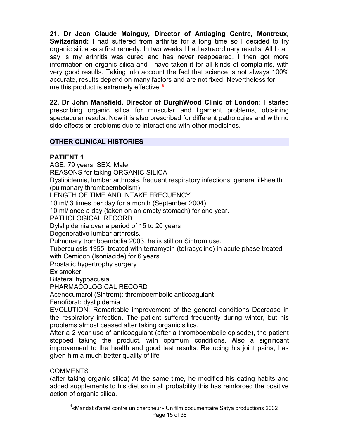**21. Dr Jean Claude Mainguy, Director of Antiaging Centre, Montreux, Switzerland:** I had suffered from arthritis for a long time so I decided to try organic silica as a first remedy. In two weeks I had extraordinary results. All I can say is my arthritis was cured and has never reappeared. I then got more information on organic silica and I have taken it for all kinds of complaints, with very good results. Taking into account the fact that science is not always 100% accurate, results depend on many factors and are not fixed. Nevertheless for me this product is extremely effective.<sup>[6](#page-14-0)</sup>

**22. Dr John Mansfield, Director of BurghWood Clinic of London:** I started prescribing organic silica for muscular and ligament problems, obtaining spectacular results. Now it is also prescribed for different pathologies and with no side effects or problems due to interactions with other medicines.

# **OTHER CLINICAL HISTORIES**

# **PATIENT 1**

AGE: 79 years. SEX: Male REASONS for taking ORGANIC SILICA Dyslipidemia, lumbar arthrosis, frequent respiratory infections, general ill-health (pulmonary thromboembolism) LENGTH OF TIME AND INTAKE FRECUENCY 10 ml/ 3 times per day for a month (September 2004) 10 ml/ once a day (taken on an empty stomach) for one year. PATHOLOGICAL RECORD Dylslipidemia over a period of 15 to 20 years Degenerative lumbar arthrosis. Pulmonary tromboembolia 2003, he is still on Sintrom use. Tuberculosis 1955, treated with terramycin (tetracycline) in acute phase treated with Cemidon (Isoniacide) for 6 years. Prostatic hypertrophy surgery Ex smoker Bilateral hypoacusia PHARMACOLOGICAL RECORD Acenocumarol (Sintrom): thromboembolic anticoagulant Fenofibrat: dyslipidemia EVOLUTION: Remarkable improvement of the general conditions Decrease in the respiratory infection. The patient suffered frequently during winter, but his problems almost ceased after taking organic silica. After a 2 year use of anticoagulant (after a thromboembolic episode), the patient stopped taking the product, with optimum conditions. Also a significant improvement to the health and good test results. Reducing his joint pains, has

# COMMENTS

given him a much better quality of life

<span id="page-14-0"></span>(after taking organic silica) At the same time, he modified his eating habits and added supplements to his diet so in all probability this has reinforced the positive action of organic silica.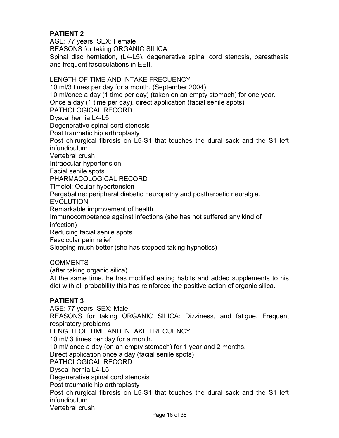# **PATIENT 2**

AGE: 77 years. SEX: Female REASONS for taking ORGANIC SILICA Spinal disc herniation, (L4-L5), degenerative spinal cord stenosis, paresthesia and frequent fasciculations in EEII.

## LENGTH OF TIME AND INTAKE FRECUENCY 10 ml/3 times per day for a month. (September 2004) 10 ml/once a day (1 time per day) (taken on an empty stomach) for one year. Once a day (1 time per day), direct application (facial senile spots) PATHOLOGICAL RECORD Dyscal hernia L4-L5 Degenerative spinal cord stenosis Post traumatic hip arthroplasty Post chirurgical fibrosis on L5-S1 that touches the dural sack and the S1 left infundibulum. Vertebral crush Intraocular hypertension Facial senile spots. PHARMACOLOGICAL RECORD Timolol: Ocular hypertension Pergabaline: peripheral diabetic neuropathy and postherpetic neuralgia. EVOLUTION Remarkable improvement of health Immunocompetence against infections (she has not suffered any kind of infection) Reducing facial senile spots. Fascicular pain relief Sleeping much better (she has stopped taking hypnotics)

## **COMMENTS**

(after taking organic silica)

At the same time, he has modified eating habits and added supplements to his diet with all probability this has reinforced the positive action of organic silica.

## **PATIENT 3**

AGE: 77 years. SEX: Male REASONS for taking ORGANIC SILICA: Dizziness, and fatigue. Frequent respiratory problems LENGTH OF TIME AND INTAKE FRECUENCY 10 ml/ 3 times per day for a month. 10 ml/ once a day (on an empty stomach) for 1 year and 2 months. Direct application once a day (facial senile spots) PATHOLOGICAL RECORD Dyscal hernia L4-L5 Degenerative spinal cord stenosis Post traumatic hip arthroplasty Post chirurgical fibrosis on L5-S1 that touches the dural sack and the S1 left infundibulum. Vertebral crush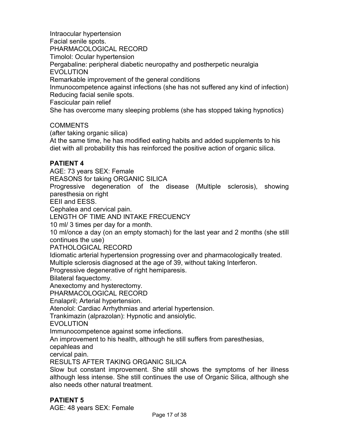Intraocular hypertension Facial senile spots. PHARMACOLOGICAL RECORD Timolol: Ocular hypertension Pergabaline: peripheral diabetic neuropathy and postherpetic neuralgia **EVOLUTION** Remarkable improvement of the general conditions Inmunocompetence against infections (she has not suffered any kind of infection) Reducing facial senile spots. Fascicular pain relief

She has overcome many sleeping problems (she has stopped taking hypnotics)

# **COMMENTS**

(after taking organic silica)

At the same time, he has modified eating habits and added supplements to his diet with all probability this has reinforced the positive action of organic silica.

# **PATIENT 4**

AGE: 73 years SEX: Female

REASONS for taking ORGANIC SILICA

Progressive degeneration of the disease (Multiple sclerosis), showing paresthesia on right

EEII and EESS.

Cephalea and cervical pain.

LENGTH OF TIME AND INTAKE FRECUENCY

10 ml/ 3 times per day for a month.

10 ml/once a day (on an empty stomach) for the last year and 2 months (she still continues the use)

PATHOLOGICAL RECORD

Idiomatic arterial hypertension progressing over and pharmacologically treated. Multiple sclerosis diagnosed at the age of 39, without taking Interferon.

Progressive degenerative of right hemiparesis.

Bilateral faquectomy.

Anexectomy and hysterectomy.

PHARMACOLOGICAL RECORD

Enalapril; Arterial hypertension.

Atenolol: Cardiac Arrhythmias and arterial hypertension.

Trankimazin (alprazolan): Hypnotic and ansiolytic.

EVOLUTION

Immunocompetence against some infections.

An improvement to his health, although he still suffers from paresthesias,

cepahleas and

cervical pain.

RESULTS AFTER TAKING ORGANIC SILICA

Slow but constant improvement. She still shows the symptoms of her illness although less intense. She still continues the use of Organic Silica, although she also needs other natural treatment.

# **PATIENT 5**

AGE: 48 years SEX: Female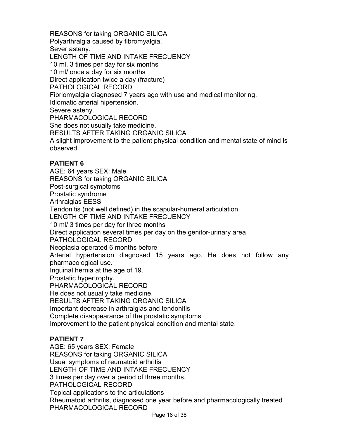REASONS for taking ORGANIC SILICA Polyarthralgia caused by fibromyalgia. Sever asteny. LENGTH OF TIME AND INTAKE FRECUENCY 10 ml, 3 times per day for six months 10 ml/ once a day for six months Direct application twice a day (fracture) PATHOLOGICAL RECORD Fibriomyalgia diagnosed 7 years ago with use and medical monitoring. Idiomatic arterial hipertensión. Severe asteny. PHARMACOLOGICAL RECORD She does not usually take medicine. RESULTS AFTER TAKING ORGANIC SILICA A slight improvement to the patient physical condition and mental state of mind is observed.

# **PATIENT 6**

AGE: 64 years SEX: Male REASONS for taking ORGANIC SILICA Post-surgical symptoms Prostatic syndrome Arthralgias EESS Tendonitis (not well defined) in the scapular-humeral articulation LENGTH OF TIME AND INTAKE FRECUENCY 10 ml/ 3 times per day for three months Direct application several times per day on the genitor-urinary area PATHOLOGICAL RECORD Neoplasia operated 6 months before Arterial hypertension diagnosed 15 years ago. He does not follow any pharmacological use. Inguinal hernia at the age of 19. Prostatic hypertrophy. PHARMACOLOGICAL RECORD He does not usually take medicine. RESULTS AFTER TAKING ORGANIC SILICA Important decrease in arthralgias and tendonitis Complete disappearance of the prostatic symptoms Improvement to the patient physical condition and mental state.

# **PATIENT 7**

AGE: 65 years SEX: Female REASONS for taking ORGANIC SILICA Usual symptoms of reumatoid arthritis LENGTH OF TIME AND INTAKE FRECUENCY 3 times per day over a period of three months. PATHOLOGICAL RECORD Topical applications to the articulations Rheumatoid arthritis, diagnosed one year before and pharmacologically treated PHARMACOLOGICAL RECORD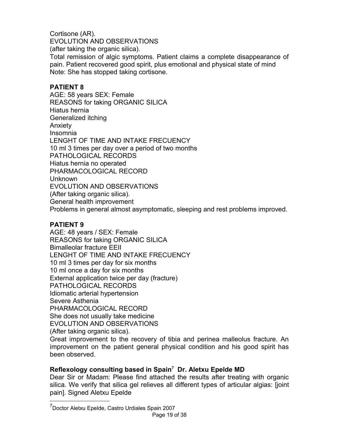Cortisone (AR). EVOLUTION AND OBSERVATIONS (after taking the organic silica). Total remission of algic symptoms. Patient claims a complete disappearance of pain. Patient recovered good spirit, plus emotional and physical state of mind Note: She has stopped taking cortisone.

# **PATIENT 8**

AGE: 58 years SEX: Female REASONS for taking ORGANIC SILICA Hiatus hernia Generalized itching Anxiety Insomnia LENGHT OF TIME AND INTAKE FRECUENCY 10 ml 3 times per day over a period of two months PATHOLOGICAL RECORDS Hiatus hernia no operated PHARMACOLOGICAL RECORD Unknown EVOLUTION AND OBSERVATIONS (After taking organic silica). General health improvement Problems in general almost asymptomatic, sleeping and rest problems improved.

# **PATIENT 9**

AGE: 48 years / SEX: Female REASONS for taking ORGANIC SILICA Bimalleolar fracture EEII LENGHT OF TIME AND INTAKE FRECUENCY 10 ml 3 times per day for six months 10 ml once a day for six months External application twice per day (fracture) PATHOLOGICAL RECORDS Idiomatic arterial hypertension Severe Asthenia PHARMACOLOGICAL RECORD She does not usually take medicine EVOLUTION AND OBSERVATIONS (After taking organic silica).

Great improvement to the recovery of tibia and perinea malleolus fracture. An improvement on the patient general physical condition and his good spirit has been observed.

# **Reflexology consulting based in Spain[7](#page-18-0) Dr. Aletxu Epelde MD**

Dear Sir or Madam: Please find attached the results after treating with organic silica. We verify that silica gel relieves all different types of articular algias: [joint pain]. Signed Aletxu Epelde

<span id="page-18-0"></span><sup>7</sup>Doctor Aletxu Epelde, Castro Urdiales Spain 2007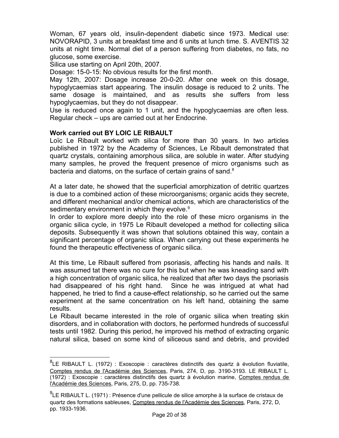Woman, 67 years old, insulin-dependent diabetic since 1973. Medical use: NOVORAPID, 3 units at breakfast time and 6 units at lunch time. S. AVENTIS 32 units at night time. Normal diet of a person suffering from diabetes, no fats, no glucose, some exercise.

Silica use starting on April 20th, 2007.

Dosage: 15-0-15: No obvious results for the first month.

May 12th, 2007: Dosage increase 20-0-20. After one week on this dosage, hypoglycaemias start appearing. The insulin dosage is reduced to 2 units. The same dosage is maintained, and as results she suffers from less hypoglycaemias, but they do not disappear.

Use is reduced once again to 1 unit, and the hypoglycaemias are often less. Regular check – ups are carried out at her Endocrine.

### **Work carried out BY LOIC LE RIBAULT**

Loïc Le Ribault worked with silica for more than 30 years. In two articles published in 1972 by the Academy of Sciences, Le Ribault demonstrated that quartz crystals, containing amorphous silica, are soluble in water. After studying many samples, he proved the frequent presence of micro organisms such as bacteria and diatoms, on the surface of certain grains of sand. $8<sup>8</sup>$  $8<sup>8</sup>$ 

At a later date, he showed that the superficial amorphization of detritic quartzes is due to a combined action of these microorganisms; organic acids they secrete, and different mechanical and/or chemical actions, which are characteristics of the sedimentary environment in which they evolve.<sup>[9](#page-19-1)</sup>

In order to explore more deeply into the role of these micro organisms in the organic silica cycle, in 1975 Le Ribault developed a method for collecting silica deposits. Subsequently it was shown that solutions obtained this way, contain a significant percentage of organic silica. When carrying out these experiments he found the therapeutic effectiveness of organic silica.

At this time, Le Ribault suffered from psoriasis, affecting his hands and nails. It was assumed tat there was no cure for this but when he was kneading sand with a high concentration of organic silica, he realized that after two days the psoriasis had disappeared of his right hand. Since he was intrigued at what had happened, he tried to find a cause-effect relationship, so he carried out the same experiment at the same concentration on his left hand, obtaining the same results.

Le Ribault became interested in the role of organic silica when treating skin disorders, and in collaboration with doctors, he performed hundreds of successful tests until 1982. During this period, he improved his method of extracting organic natural silica, based on some kind of siliceous sand and debris, and provided

<span id="page-19-0"></span> ${}^{8}$ LE RIBAULT L. (1972) : Exoscopie : caractères distinctifs des quartz à évolution fluviatile, Comptes rendus de l'Académie des Sciences, Paris, 274, D, pp. 3190-3193. LE RIBAULT L. (1972) : Exoscopie : caractères distinctifs des quartz à évolution marine, Comptes rendus de l'Académie des Sciences, Paris, 275, D, pp. 735-738.

<span id="page-19-1"></span><sup>&</sup>lt;sup>9</sup>LE RIBAULT L. (1971) : Présence d'une pellicule de silice amorphe à la surface de cristaux de quartz des formations sableuses, Comptes rendus de l'Académie des Sciences, Paris, 272, D, pp. 1933-1936.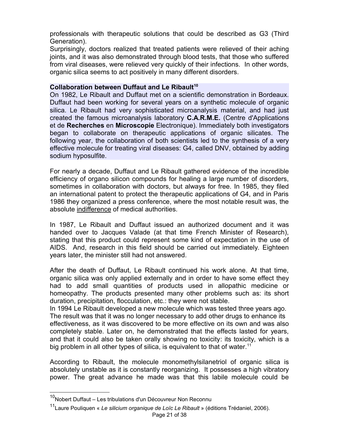professionals with therapeutic solutions that could be described as G3 (Third Generation).

Surprisingly, doctors realized that treated patients were relieved of their aching joints, and it was also demonstrated through blood tests, that those who suffered from viral diseases, were relieved very quickly of their infections. In other words, organic silica seems to act positively in many different disorders.

### **Collaboration between Duffaut and Le Ribault[10](#page-20-0)**

On 1982, Le Ribault and Duffaut met on a scientific demonstration in Bordeaux. Duffaut had been working for several years on a synthetic molecule of organic silica. Le Ribault had very sophisticated microanalysis material, and had just created the famous microanalysis laboratory **C.A.R.M.E.** (Centre d'Applications et de **Recherches** en **Microscopie** Electronique). Immediately both investigators began to collaborate on therapeutic applications of organic silicates. The following year, the collaboration of both scientists led to the synthesis of a very effective molecule for treating viral diseases: G4, called DNV, obtained by adding sodium hyposulfite.

For nearly a decade, Duffaut and Le Ribault gathered evidence of the incredible efficiency of organo silicon compounds for healing a large number of disorders, sometimes in collaboration with doctors, but always for free. In 1985, they filed an international patent to protect the therapeutic applications of G4, and in Paris 1986 they organized a press conference, where the most notable result was, the absolute indifference of medical authorities.

In 1987, Le Ribault and Duffaut issued an authorized document and it was handed over to Jacques Valade (at that time French Minister of Research), stating that this product could represent some kind of expectation in the use of AIDS. And, research in this field should be carried out immediately. Eighteen years later, the minister still had not answered.

After the death of Duffaut, Le Ribault continued his work alone. At that time, organic silica was only applied externally and in order to have some effect they had to add small quantities of products used in allopathic medicine or homeopathy. The products presented many other problems such as: its short duration, precipitation, flocculation, etc.: they were not stable.

In 1994 Le Ribault developed a new molecule which was tested three years ago. The result was that it was no longer necessary to add other drugs to enhance its effectiveness, as it was discovered to be more effective on its own and was also completely stable. Later on, he demonstrated that the effects lasted for years, and that it could also be taken orally showing no toxicity: its toxicity, which is a big problem in all other types of silica, is equivalent to that of water.<sup>[11](#page-20-1)</sup>

According to Ribault, the molecule monomethylsilanetriol of organic silica is absolutely unstable as it is constantly reorganizing. It possesses a high vibratory power. The great advance he made was that this labile molecule could be

<span id="page-20-0"></span><sup>&</sup>lt;sup>10</sup>Nobert Duffaut – Les tribulations d'un Découvreur Non Reconnu

<span id="page-20-1"></span><sup>11</sup>Laure Pouliquen « *Le silicium organique de Loïc Le Ribault* » (éditions Trédaniel, 2006).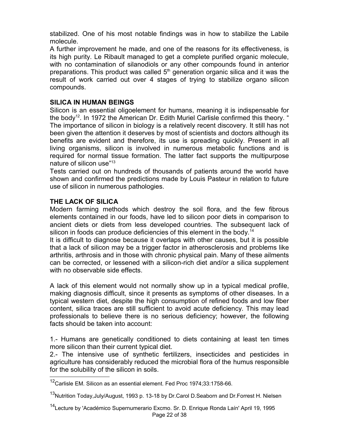stabilized. One of his most notable findings was in how to stabilize the Labile molecule.

A further improvement he made, and one of the reasons for its effectiveness, is its high purity. Le Ribault managed to get a complete purified organic molecule, with no contamination of silanodiols or any other compounds found in anterior preparations. This product was called  $5<sup>th</sup>$  generation organic silica and it was the result of work carried out over 4 stages of trying to stabilize organo silicon compounds.

## **SILICA IN HUMAN BEINGS**

Silicon is an essential oligoelement for humans, meaning it is indispensable for the body<sup>[12](#page-21-0)</sup>. In 1972 the American Dr. Edith Muriel Carlisle confirmed this theory. " The importance of silicon in biology is a relatively recent discovery. It still has not been given the attention it deserves by most of scientists and doctors although its benefits are evident and therefore, its use is spreading quickly. Present in all living organisms, silicon is involved in numerous metabolic functions and is required for normal tissue formation. The latter fact supports the multipurpose nature of silicon use"<sup>[13](#page-21-1)</sup>

Tests carried out on hundreds of thousands of patients around the world have shown and confirmed the predictions made by Louis Pasteur in relation to future use of silicon in numerous pathologies.

## **THE LACK OF SILICA**

Modern farming methods which destroy the soil flora, and the few fibrous elements contained in our foods, have led to silicon poor diets in comparison to ancient diets or diets from less developed countries. The subsequent lack of silicon in foods can produce deficiencies of this element in the body.<sup>[14](#page-21-2)</sup>

It is difficult to diagnose because it overlaps with other causes, but it is possible that a lack of silicon may be a trigger factor in atherosclerosis and problems like arthritis, arthrosis and in those with chronic physical pain. Many of these ailments can be corrected, or lessened with a silicon-rich diet and/or a silica supplement with no observable side effects.

A lack of this element would not normally show up in a typical medical profile, making diagnosis difficult, since it presents as symptoms of other diseases. In a typical western diet, despite the high consumption of refined foods and low fiber content, silica traces are still sufficient to avoid acute deficiency. This may lead professionals to believe there is no serious deficiency; however, the following facts should be taken into account:

1.- Humans are genetically conditioned to diets containing at least ten times more silicon than their current typical diet.

2.- The intensive use of synthetic fertilizers, insecticides and pesticides in agriculture has considerably reduced the microbial flora of the humus responsible for the solubility of the silicon in soils.

<span id="page-21-0"></span><sup>&</sup>lt;sup>12</sup>Carlisle EM. Silicon as an essential element. Fed Proc 1974;33:1758-66.

<span id="page-21-1"></span><sup>&</sup>lt;sup>13</sup>Nutrition Today,July/August, 1993 p. 13-18 by Dr.Carol D.Seaborn and Dr.Forrest H. Nielsen

<span id="page-21-2"></span><sup>&</sup>lt;sup>14</sup>Lecture by 'Académico Supernumerario Excmo. Sr. D. Enrique Ronda Laín' April 19, 1995 Page 22 of 38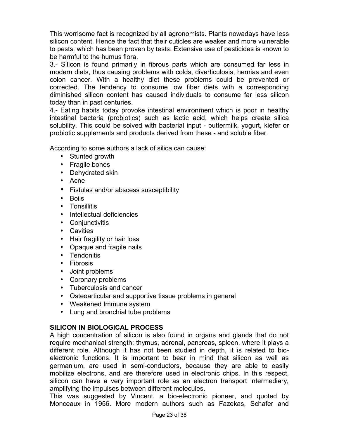This worrisome fact is recognized by all agronomists. Plants nowadays have less silicon content. Hence the fact that their cuticles are weaker and more vulnerable to pests, which has been proven by tests. Extensive use of pesticides is known to be harmful to the humus flora.

3.- Silicon is found primarily in fibrous parts which are consumed far less in modern diets, thus causing problems with colds, diverticulosis, hernias and even colon cancer. With a healthy diet these problems could be prevented or corrected. The tendency to consume low fiber diets with a corresponding diminished silicon content has caused individuals to consume far less silicon today than in past centuries.

4.- Eating habits today provoke intestinal environment which is poor in healthy intestinal bacteria (probiotics) such as lactic acid, which helps create silica solubility. This could be solved with bacterial input - buttermilk, yogurt, kiefer or probiotic supplements and products derived from these - and soluble fiber.

According to some authors a lack of silica can cause:

- Stunted growth
- Fragile bones
- Dehydrated skin
- Acne
- Fistulas and/or abscess susceptibility
- Boils
- Tonsillitis
- Intellectual deficiencies
- Conjunctivitis
- Cavities
- Hair fragility or hair loss
- Opaque and fragile nails
- Tendonitis
- Fibrosis
- Joint problems
- Coronary problems
- Tuberculosis and cancer
- Osteoarticular and supportive tissue problems in general
- Weakened Immune system
- Lung and bronchial tube problems

## **SILICON IN BIOLOGICAL PROCESS**

A high concentration of silicon is also found in organs and glands that do not require mechanical strength: thymus, adrenal, pancreas, spleen, where it plays a different role. Although it has not been studied in depth, it is related to bioelectronic functions. It is important to bear in mind that silicon as well as germanium, are used in semi-conductors, because they are able to easily mobilize electrons, and are therefore used in electronic chips. In this respect, silicon can have a very important role as an electron transport intermediary, amplifying the impulses between different molecules.

This was suggested by Vincent, a bio-electronic pioneer, and quoted by Monceaux in 1956. More modern authors such as Fazekas, Schafer and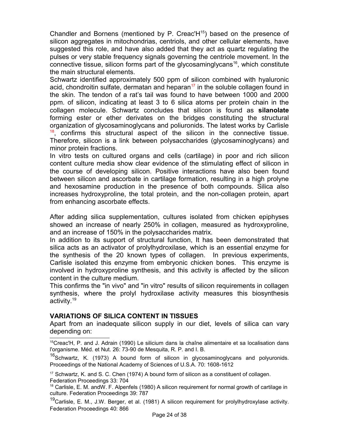Chandler and Bornens (mentioned by  $P$ . Creac'H $<sup>15</sup>$  $<sup>15</sup>$  $<sup>15</sup>$ ) based on the presence of</sup> silicon aggregates in mitochondrias, centriols, and other cellular elements, have suggested this role, and have also added that they act as quartz regulating the pulses or very stable frequency signals governing the centriole movement. In the connective tissue, silicon forms part of the glycosaminglycans<sup>[16](#page-23-1)</sup>, which constitute the main structural elements.

Schwartz identified approximately 500 ppm of silicon combined with hyaluronic acid, chondroitin sulfate, dermatan and heparan $17$  in the soluble collagen found in the skin. The tendon of a rat's tail was found to have between 1000 and 2000 ppm. of silicon, indicating at least 3 to 6 silica atoms per protein chain in the collagen molecule. Schwartz concludes that silicon is found as **silanolate** forming ester or ether derivates on the bridges constituting the structural organization of glycosaminoglycans and poliuronids. The latest works by Carlisle  $18$ , confirms this structural aspect of the silicon in the connective tissue. Therefore, silicon is a link between polysaccharides (glycosaminoglycans) and minor protein fractions.

In vitro tests on cultured organs and cells (cartilage) in poor and rich silicon content culture media show clear evidence of the stimulating effect of silicon in the course of developing silicon. Positive interactions have also been found between silicon and ascorbate in cartilage formation, resulting in a high prolyne and hexosamine production in the presence of both compounds. Silica also increases hydroxyproline, the total protein, and the non-collagen protein, apart from enhancing ascorbate effects.

After adding silica supplementation, cultures isolated from chicken epiphyses showed an increase of nearly 250% in collagen, measured as hydroxyproline, and an increase of 150% in the polysaccharides matrix.

In addition to its support of structural function, It has been demonstrated that silica acts as an activator of prolylhydroxilase, which is an essential enzyme for the synthesis of the 20 known types of collagen. In previous experiments, Carlisle isolated this enzyme from embryonic chicken bones. This enzyme is involved in hydroxyproline synthesis, and this activity is affected by the silicon content in the culture medium.

This confirms the "in vivo" and "in vitro" results of silicon requirements in collagen synthesis, where the prolyl hydroxilase activity measures this biosynthesis activity.[19](#page-23-4)

## **VARIATIONS OF SILICA CONTENT IN TISSUES**

Apart from an inadequate silicon supply in our diet, levels of silica can vary depending on:

<span id="page-23-0"></span><sup>15</sup>Creac'H, P. and J. Adrain (1990) Le silicium dans la chaîne alimentaire et sa localisation dans l'organisme. Méd. et Nut. 26: 73-90 de Mesquita, R. P. and I. B.

<span id="page-23-1"></span><sup>&</sup>lt;sup>16</sup>Schwartz, K. (1973) A bound form of silicon in glycosaminoglycans and polyuronids. Proceedings of the National Academy of Sciences of U.S.A. 70: 1608-1612

<span id="page-23-2"></span><sup>&</sup>lt;sup>17</sup> Schwartz, K. and S. C. Chen (1974) A bound form of silicon as a constituent of collagen. Federation Proceedings 33: 704

<span id="page-23-3"></span><sup>&</sup>lt;sup>18</sup> Carlisle, E. M. and W. F. Alpenfels (1980) A silicon requirement for normal growth of cartilage in culture. Federation Proceedings 39: 787

<span id="page-23-4"></span><sup>&</sup>lt;sup>19</sup>Carlisle, E. M., J.W. Berger, et al. (1981) A silicon requirement for prolylhydroxylase activity. Federation Proceedings 40: 866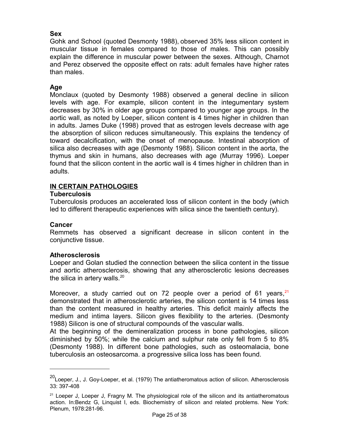# **Sex**

Gohk and School (quoted Desmonty 1988), observed 35% less silicon content in muscular tissue in females compared to those of males. This can possibly explain the difference in muscular power between the sexes. Although, Charnot and Perez observed the opposite effect on rats: adult females have higher rates than males.

## **Age**

Monclaux (quoted by Desmonty 1988) observed a general decline in silicon levels with age. For example, silicon content in the integumentary system decreases by 30% in older age groups compared to younger age groups. In the aortic wall, as noted by Loeper, silicon content is 4 times higher in children than in adults. James Duke (1998) proved that as estrogen levels decrease with age the absorption of silicon reduces simultaneously. This explains the tendency of toward decalcification, with the onset of menopause. Intestinal absorption of silica also decreases with age (Desmonty 1988). Silicon content in the aorta, the thymus and skin in humans, also decreases with age (Murray 1996). Loeper found that the silicon content in the aortic wall is 4 times higher in children than in adults.

## **IN CERTAIN PATHOLOGIES**

### **Tuberculosis**

Tuberculosis produces an accelerated loss of silicon content in the body (which led to different therapeutic experiences with silica since the twentieth century).

## **Cancer**

Remmets has observed a significant decrease in silicon content in the conjunctive tissue.

## **Atherosclerosis**

Loeper and Golan studied the connection between the silica content in the tissue and aortic atherosclerosis, showing that any atherosclerotic lesions decreases the silica in artery walls. $^{20}$  $^{20}$  $^{20}$ 

Moreover, a study carried out on 72 people over a period of 61 years,  $21$ demonstrated that in atherosclerotic arteries, the silicon content is 14 times less than the content measured in healthy arteries. This deficit mainly affects the medium and intima layers. Silicon gives flexibility to the arteries. (Desmonty 1988) Silicon is one of structural compounds of the vascular walls.

At the beginning of the demineralization process in bone pathologies, silicon diminished by 50%; while the calcium and sulphur rate only fell from 5 to 8% (Desmonty 1988). In different bone pathologies, such as osteomalacia, bone tuberculosis an osteosarcoma. a progressive silica loss has been found.

<span id="page-24-0"></span><sup>&</sup>lt;sup>20</sup>Loeper, J., J. Goy-Loeper, et al. (1979) The antiatheromatous action of silicon. Atherosclerosis 33: 397-408

<span id="page-24-1"></span><sup>&</sup>lt;sup>21</sup> Loeper J, Loeper J, Fragny M. The physiological role of the silicon and its antiatheromatous action. In:Bendz G, Linquist I, eds. Biochemistry of silicon and related problems. New York: Plenum, 1978:281-96.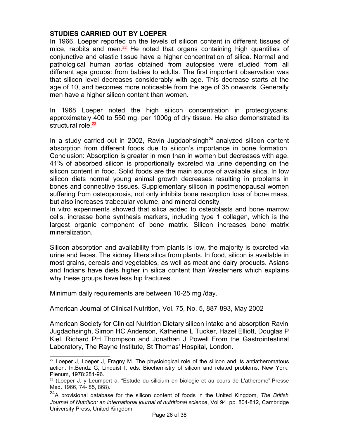## **STUDIES CARRIED OUT BY LOEPER**

In 1966, Loeper reported on the levels of silicon content in different tissues of mice, rabbits and men.<sup>[22](#page-25-0)</sup> He noted that organs containing high quantities of conjunctive and elastic tissue have a higher concentration of silica. Normal and pathological human aortas obtained from autopsies were studied from all different age groups: from babies to adults. The first important observation was that silicon level decreases considerably with age. This decrease starts at the age of 10, and becomes more noticeable from the age of 35 onwards. Generally men have a higher silicon content than women.

In 1968 Loeper noted the high silicon concentration in proteoglycans: approximately 400 to 550 mg. per 1000g of dry tissue. He also demonstrated its structural role.<sup>[23](#page-25-1)</sup>

In a study carried out in 2002, Ravin Jugdaohsingh $^{24}$  $^{24}$  $^{24}$  analyzed silicon content absorption from different foods due to silicon's importance in bone formation. Conclusion: Absorption is greater in men than in women but decreases with age. 41% of absorbed silicon is proportionally excreted via urine depending on the silicon content in food. Solid foods are the main source of available silica. In low silicon diets normal young animal growth decreases resulting in problems in bones and connective tissues. Supplementary silicon in postmenopausal women suffering from osteoporosis, not only inhibits bone resorption loss of bone mass, but also increases trabecular volume, and mineral density.

In vitro experiments showed that silica added to osteoblasts and bone marrow cells, increase bone synthesis markers, including type 1 collagen, which is the largest organic component of bone matrix. Silicon increases bone matrix mineralization.

Silicon absorption and availability from plants is low, the majority is excreted via urine and feces. The kidney filters silica from plants. In food, silicon is available in most grains, cereals and vegetables, as well as meat and dairy products. Asians and Indians have diets higher in silica content than Westerners which explains why these groups have less hip fractures.

Minimum daily requirements are between 10-25 mg /day.

American Journal of Clinical Nutrition, Vol. 75, No. 5, 887-893, May 2002

American Society for Clinical Nutrition Dietary silicon intake and absorption Ravin Jugdaohsingh, Simon HC Anderson, Katherine L Tucker, Hazel Elliott, Douglas P Kiel, Richard PH Thompson and Jonathan J Powell From the Gastrointestinal Laboratory, The Rayne Institute, St Thomas' Hospital, London.

<span id="page-25-0"></span> $22$  Loeper J, Loeper J, Fragny M. The physiological role of the silicon and its antiatheromatous action. In:Bendz G, Linquist I, eds. Biochemistry of silicon and related problems. New York: Plenum, 1978:281-96.

<span id="page-25-1"></span><sup>&</sup>lt;sup>23</sup> (Loeper J. y Leumpert a. "Estude du silicium en biologie et au cours de L'atherome", Presse Med. 1966, 74- 85, 868).

<span id="page-25-2"></span><sup>24</sup>A provisional database for the silicon content of foods in the United Kingdom, *The British Journal of Nutrition: an international journal of nutritional science*, Vol 94, pp. 804-812, Cambridge University Press, United Kingdom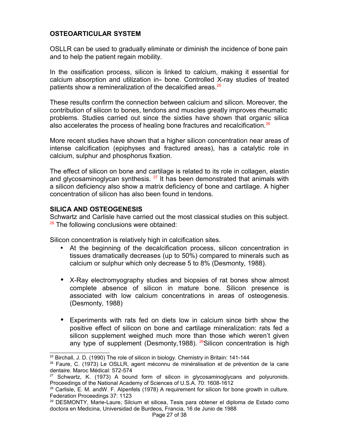# **OSTEOARTICULAR SYSTEM**

OSLLR can be used to gradually eliminate or diminish the incidence of bone pain and to help the patient regain mobility.

In the ossification process, silicon is linked to calcium, making it essential for calcium absorption and utilization in- bone. Controlled X-ray studies of treated patients show a remineralization of the decalcified areas.<sup>[25](#page-26-0)</sup>

These results confirm the connection between calcium and silicon. Moreover, the contribution of silicon to bones, tendons and muscles greatly improves rheumatic problems. Studies carried out since the sixties have shown that organic silica also accelerates the process of healing bone fractures and recalcification.<sup>[26](#page-26-1)</sup>

More recent studies have shown that a higher silicon concentration near areas of intense calcification (epiphyses and fractured areas), has a catalytic role in calcium, sulphur and phosphorus fixation.

The effect of silicon on bone and cartilage is related to its role in collagen, elastin and glycosaminoglycan synthesis.  $27$  It has been demonstrated that animals with a silicon deficiency also show a matrix deficiency of bone and cartilage. A higher concentration of silicon has also been found in tendons.

## **SILICA AND OSTEOGENESIS**

Schwartz and Carlisle have carried out the most classical studies on this subject.  $28$  The following conclusions were obtained:

Silicon concentration is relatively high in calcification sites.

- At the beginning of the decalcification process, silicon concentration in tissues dramatically decreases (up to 50%) compared to minerals such as calcium or sulphur which only decrease 5 to 8% (Desmonty, 1988).
- X-Ray electromyography studies and biopsies of rat bones show almost complete absence of silicon in mature bone. Silicon presence is associated with low calcium concentrations in areas of osteogenesis. (Desmonty, 1988).
- Experiments with rats fed on diets low in calcium since birth show the positive effect of silicon on bone and cartilage mineralization: rats fed a silicon supplement weighed much more than those which weren't given any type of supplement (Desmonty, 1988).  $^{29}$  $^{29}$  $^{29}$ Silicon concentration is high

<span id="page-26-0"></span><sup>&</sup>lt;sup>25</sup> Birchall, J. D. (1990) The role of silicon in biology. Chemistry in Britain: 141-144

<span id="page-26-1"></span> $26$  Faure, C. (1973) Le OSLLR, agent méconnu de minéralisation et de prévention de la carie dentaire. Maroc Médical: 572-574

<span id="page-26-2"></span><sup>&</sup>lt;sup>27</sup> Schwartz, K. (1973) A bound form of silicon in glycosaminoglycans and polyuronids. Proceedings of the National Academy of Sciences of U.S.A. 70: 1608-1612

<span id="page-26-3"></span><sup>&</sup>lt;sup>28</sup> Carlisle, E. M. andW. F. Alpenfels (1978) A requirement for silicon for bone growth in culture. Federation Proceedings 37: 1123

<span id="page-26-4"></span><sup>29</sup> DESMONTY, Marie-Laure, Silcium et silicea, Tesis para obtener el diploma de Estado como doctora en Medicina, Universidad de Burdeos, Francia, 16 de Junio de 1988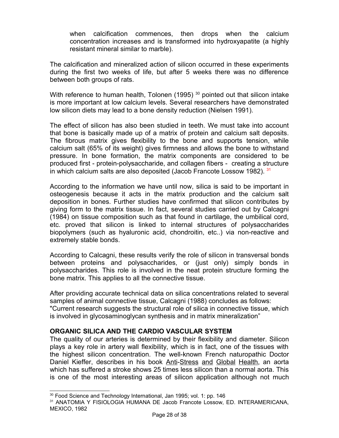when calcification commences, then drops when the calcium concentration increases and is transformed into hydroxyapatite (a highly resistant mineral similar to marble).

The calcification and mineralized action of silicon occurred in these experiments during the first two weeks of life, but after 5 weeks there was no difference between both groups of rats.

With reference to human health, Tolonen (1995)  $30$  pointed out that silicon intake is more important at low calcium levels. Several researchers have demonstrated low silicon diets may lead to a bone density reduction (Nielsen 1991).

The effect of silicon has also been studied in teeth. We must take into account that bone is basically made up of a matrix of protein and calcium salt deposits. The fibrous matrix gives flexibility to the bone and supports tension, while calcium salt (65% of its weight) gives firmness and allows the bone to withstand pressure. In bone formation, the matrix components are considered to be produced first - protein-polysaccharide, and collagen fibers - creating a structure in which calcium salts are also deposited (Jacob Francote Lossow 1982). [31](#page-27-1)

According to the information we have until now, silica is said to be important in osteogenesis because it acts in the matrix production and the calcium salt deposition in bones. Further studies have confirmed that silicon contributes by giving form to the matrix tissue. In fact, several studies carried out by Calcagni (1984) on tissue composition such as that found in cartilage, the umbilical cord, etc. proved that silicon is linked to internal structures of polysaccharides biopolymers (such as hyaluronic acid, chondroitin, etc..) via non-reactive and extremely stable bonds.

According to Calcagni, these results verify the role of silicon in transversal bonds between proteins and polysaccharides, or (just only) simply bonds in polysaccharides. This role is involved in the neat protein structure forming the bone matrix. This applies to all the connective tissue.

After providing accurate technical data on silica concentrations related to several samples of animal connective tissue, Calcagni (1988) concludes as follows: "Current research suggests the structural role of silica in connective tissue, which is involved in glycosaminoglycan synthesis and in matrix mineralization"

## **ORGANIC SILICA AND THE CARDIO VASCULAR SYSTEM**

The quality of our arteries is determined by their flexibility and diameter. Silicon plays a key role in artery wall flexibility, which is in fact, one of the tissues with the highest silicon concentration. The well-known French naturopathic Doctor Daniel Kieffer, describes in his book Anti-Stress and Global Health, an aorta which has suffered a stroke shows 25 times less silicon than a normal aorta. This is one of the most interesting areas of silicon application although not much

<span id="page-27-0"></span><sup>&</sup>lt;sup>30</sup> Food Science and Technology International, Jan 1995; vol. 1: pp. 146

<span id="page-27-1"></span><sup>31</sup> ANATOMIA Y FISIOLOGIA HUMANA DE Jacob Francote Lossow, ED. INTERAMERICANA, MEXICO, 1982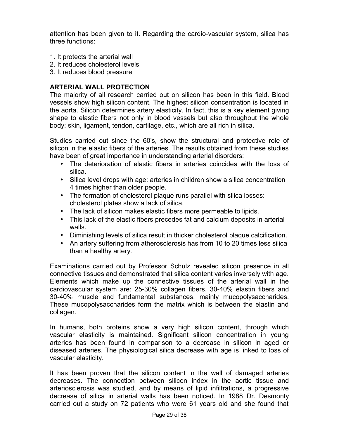attention has been given to it. Regarding the cardio-vascular system, silica has three functions:

- 1. It protects the arterial wall
- 2. It reduces cholesterol levels
- 3. It reduces blood pressure

## **ARTERIAL WALL PROTECTION**

The majority of all research carried out on silicon has been in this field. Blood vessels show high silicon content. The highest silicon concentration is located in the aorta. Silicon determines artery elasticity. In fact, this is a key element giving shape to elastic fibers not only in blood vessels but also throughout the whole body: skin, ligament, tendon, cartilage, etc., which are all rich in silica.

Studies carried out since the 60's, show the structural and protective role of silicon in the elastic fibers of the arteries. The results obtained from these studies have been of great importance in understanding arterial disorders:

- The deterioration of elastic fibers in arteries coincides with the loss of silica.
- Silica level drops with age: arteries in children show a silica concentration 4 times higher than older people.
- The formation of cholesterol plaque runs parallel with silica losses: cholesterol plates show a lack of silica.
- The lack of silicon makes elastic fibers more permeable to lipids.
- This lack of the elastic fibers precedes fat and calcium deposits in arterial walls.
- Diminishing levels of silica result in thicker cholesterol plaque calcification.
- An artery suffering from atherosclerosis has from 10 to 20 times less silica than a healthy artery.

Examinations carried out by Professor Schulz revealed silicon presence in all connective tissues and demonstrated that silica content varies inversely with age. Elements which make up the connective tissues of the arterial wall in the cardiovascular system are: 25-30% collagen fibers, 30-40% elastin fibers and 30-40% muscle and fundamental substances, mainly mucopolysaccharides. These mucopolysaccharides form the matrix which is between the elastin and collagen.

In humans, both proteins show a very high silicon content, through which vascular elasticity is maintained. Significant silicon concentration in young arteries has been found in comparison to a decrease in silicon in aged or diseased arteries. The physiological silica decrease with age is linked to loss of vascular elasticity.

It has been proven that the silicon content in the wall of damaged arteries decreases. The connection between silicon index in the aortic tissue and arteriosclerosis was studied, and by means of lipid infiltrations, a progressive decrease of silica in arterial walls has been noticed. In 1988 Dr. Desmonty carried out a study on 72 patients who were 61 years old and she found that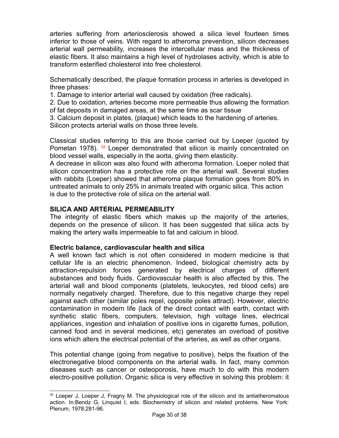arteries suffering from arteriosclerosis showed a silica level fourteen times inferior to those of veins. With regard to atheroma prevention, silicon decreases arterial wall permeability, increases the intercellular mass and the thickness of elastic fibers. It also maintains a high level of hydrolases activity, which is able to transform esterified cholesterol into free cholesterol.

Schematically described, the plaque formation process in arteries is developed in three phases:

1. Damage to interior arterial wall caused by oxidation (free radicals).

2. Due to oxidation, arteries become more permeable thus allowing the formation of fat deposits in damaged areas, at the same time as scar tissue

3. Calcium deposit in plates, (plaque) which leads to the hardening of arteries. Silicon protects arterial walls on those three levels.

Classical studies referring to this are those carried out by Loeper (quoted by Pometan1978). <sup>32</sup> Loeper demonstrated that silicon is mainly concentrated on blood vessel walls, especially in the aorta, giving them elasticity.

A decrease in silicon was also found with atheroma formation. Loeper noted that silicon concentration has a protective role on the arterial wall. Several studies with rabbits (Loeper) showed that atheroma plaque formation goes from 80% in untreated animals to only 25% in animals treated with organic silica. This action is due to the protective role of silica on the arterial wall.

## **SILICA AND ARTERIAL PERMEABILITY**

The integrity of elastic fibers which makes up the majority of the arteries, depends on the presence of silicon. It has been suggested that silica acts by making the artery walls impermeable to fat and calcium in blood.

## **Electric balance, cardiovascular health and silica**

A well known fact which is not often considered in modern medicine is that cellular life is an electric phenomenon. Indeed, biological chemistry acts by attraction-repulsion forces generated by electrical charges of different substances and body fluids. Cardiovascular health is also affected by this. The arterial wall and blood components (platelets, leukocytes, red blood cells) are normally negatively charged. Therefore, due to this negative charge they repel against each other (similar poles repel, opposite poles attract). However, electric contamination in modern life (lack of the direct contact with earth, contact with synthetic static fibers, computers, television, high voltage lines, electrical appliances, ingestion and inhalation of positive ions in cigarette fumes, pollution, canned food and in several medicines, etc) generates an overload of positive ions which alters the electrical potential of the arteries, as well as other organs.

This potential change (going from negative to positive), helps the fixation of the electronegative blood components on the arterial walls. In fact, many common diseases such as cancer or osteoporosis, have much to do with this modern electro-positive pollution. Organic silica is very effective in solving this problem: it

<span id="page-29-0"></span> $32$  Loeper J, Loeper J, Fragny M. The physiological role of the silicon and its antiatheromatous action. In:Bendz G, Linquist I, eds. Biochemistry of silicon and related problems. New York: Plenum, 1978:281-96.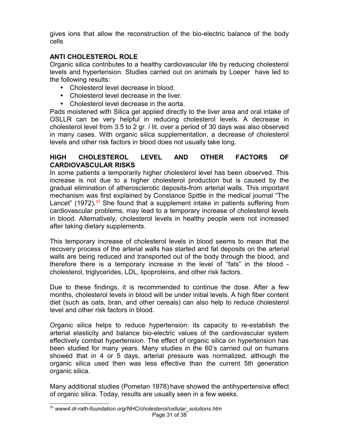gives ions that allow the reconstruction of the bio-electric balance of the body cells

# **ANTI CHOLESTEROL ROLE**

Organic silica contributes to a healthy cardiovascular life by reducing cholesterol levels and hypertension. Studies carried out on animals by Loeper have led to the following results:

- Cholesterol level decrease in blood.
- Cholesterol level decrease in the liver.
- Cholesterol level decrease in the aorta.

Pads moistened with Silica gel applied directly to the liver area and oral intake of OSLLR can be very helpful in reducing cholesterol levels. A decrease in cholesterol level from 3.5 to 2 gr. / lit. over a period of 30 days was also observed in many cases. With organic silica supplementation, a decrease of cholesterol levels and other risk factors in blood does not usually take long.

# **HIGH CHOLESTEROL LEVEL AND OTHER FACTORS OF CARDIOVASCULAR RISKS**

In some patients a temporarily higher cholesterol level has been observed. This increase is not due to a higher cholesterol production but is caused by the gradual elimination of atherosclerotic deposits from arterial walls. This important mechanism was first explained by Constance Spittle in the medical journal "The Lancet" (1972).<sup>[33](#page-30-0)</sup> She found that a supplement intake in patients suffering from cardiovascular problems, may lead to a temporary increase of cholesterol levels in blood. Alternatively, cholesterol levels in healthy people were not increased after taking dietary supplements.

This temporary increase of cholesterol levels in blood seems to mean that the recovery process of the arterial walls has started and fat deposits on the arterial walls are being reduced and transported out of the body through the blood, and therefore there is a temporary increase in the level of "fats" in the blood cholesterol, triglycerides, LDL, lipoproteins, and other risk factors.

Due to these findings, it is recommended to continue the dose. After a few months, cholesterol levels in blood will be under initial levels. A high fiber content diet (such as oats, bran, and other cereals) can also help to reduce cholesterol level and other risk factors in blood.

Organic silica helps to reduce hypertension: its capacity to re-establish the arterial elasticity and balance bio-electric values of the cardiovascular system effectively combat hypertension. The effect of organic silica on hypertension has been studied for many years. Many studies in the 60's carried out on humans showed that in 4 or 5 days, arterial pressure was normalized, although the organic silica used then was less effective than the current 5th generation organic silica.

Many additional studies (Pometan 1978) have showed the antihypertensive effect of organic silica. Today, results are usually seen in a few weeks.

<span id="page-30-0"></span><sup>33</sup> *www4.dr-rath-foundation.org/NHC/cholesterol/cellular\_solutions.htm* Page 31 of 38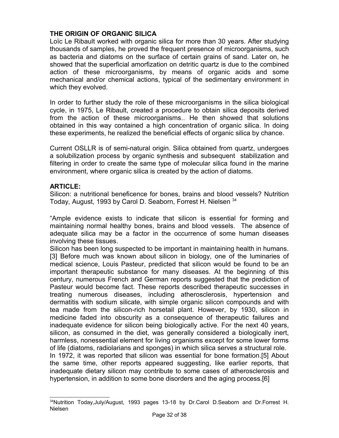# **THE ORIGIN OF ORGANIC SILICA**

Loïc Le Ribault worked with organic silica for more than 30 years. After studying thousands of samples, he proved the frequent presence of microorganisms, such as bacteria and diatoms on the surface of certain grains of sand. Later on, he showed that the superficial amorfization on detritic quartz is due to the combined action of these microorganisms, by means of organic acids and some mechanical and/or chemical actions, typical of the sedimentary environment in which they evolved.

In order to further study the role of these microorganisms in the silica biological cycle, in 1975, Le Ribault, created a procedure to obtain silica deposits derived from the action of these microorganisms.. He then showed that solutions obtained in this way contained a high concentration of organic silica. In doing these experiments, he realized the beneficial effects of organic silica by chance.

Current OSLLR is of semi-natural origin. Silica obtained from quartz, undergoes a solubilization process by organic synthesis and subsequent stabilization and filtering in order to create the same type of molecular silica found in the marine environment, where organic silica is created by the action of diatoms.

## **ARTICLE:**

Silicon: a nutritional beneficence for bones, brains and blood vessels? Nutrition Today, August, 1993 by Carol D. Seaborn, Forrest H. Nielsen <sup>[34](#page-31-0)</sup>

"Ample evidence exists to indicate that silicon is essential for forming and maintaining normal healthy bones, brains and blood vessels. The absence of adequate silica may be a factor in the occurrence of some human diseases involving these tissues.

Silicon has been long suspected to be important in maintaining health in humans. [3] Before much was known about silicon in biology, one of the luminaries of medical science, Louis Pasteur, predicted that silicon would be found to be an important therapeutic substance for many diseases. At the beginning of this century, numerous French and German reports suggested that the prediction of Pasteur would become fact. These reports described therapeutic successes in treating numerous diseases, including atherosclerosis, hypertension and dermatitis with sodium silicate, with simple organic silicon compounds and with tea made from the silicon-rich horsetail plant. However, by 1930, silicon in medicine faded into obscurity as a consequence of therapeutic failures and inadequate evidence for silicon being biologically active. For the next 40 years, silicon, as consumed in the diet, was generally considered a biologically inert, harmless, nonessential element for living organisms except for some lower forms of life (diatoms, radiolarians and sponges) in which silica serves a structural role. In 1972, it was reported that silicon was essential for bone formation.[5] About the same time, other reports appeared suggesting, like earlier reports, that inadequate dietary silicon may contribute to some cases of atherosclerosis and hypertension, in addition to some bone disorders and the aging process.[6]

<span id="page-31-0"></span><sup>34</sup>Nutrition Today, July/August, 1993 pages 13-18 by Dr.Carol D.Seaborn and Dr.Forrest H. Nielsen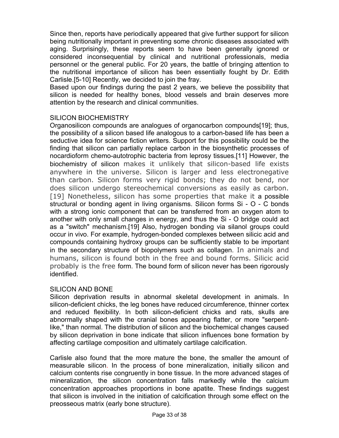Since then, reports have periodically appeared that give further support for silicon being nutritionally important in preventing some chronic diseases associated with aging. Surprisingly, these reports seem to have been generally ignored or considered inconsequential by clinical and nutritional professionals, media personnel or the general public. For 20 years, the battle of bringing attention to the nutritional importance of silicon has been essentially fought by Dr. Edith Carlisle.[5-10] Recently, we decided to join the fray.

Based upon our findings during the past 2 years, we believe the possibility that silicon is needed for healthy bones, blood vessels and brain deserves more attention by the research and clinical communities.

## SILICON BIOCHEMISTRY

Organosilicon compounds are analogues of organocarbon compounds[19]; thus, the possibility of a silicon based life analogous to a carbon-based life has been a seductive idea for science fiction writers. Support for this possibility could be the finding that silicon can partially replace carbon in the biosynthetic processes of nocardioform chemo-autotrophic bacteria from leprosy tissues.[11] However, the biochemistry of silicon makes it unlikely that silicon-based life exists anywhere in the universe. Silicon is larger and less electronegative than carbon. Silicon forms very rigid bonds; they do not bend, nor does silicon undergo stereochemical conversions as easily as carbon. [19] Nonetheless, silicon has some properties that make it a possible structural or bonding agent in living organisms. Silicon forms Si - O - C bonds with a strong ionic component that can be transferred from an oxygen atom to another with only small changes in energy, and thus the Si - O bridge could act as a "switch" mechanism.[19] Also, hydrogen bonding via silanol groups could occur in vivo. For example, hydrogen-bonded complexes between silicic acid and compounds containing hydroxy groups can be sufficiently stable to be important in the secondary structure of biopolymers such as collagen. In animals and humans, silicon is found both in the free and bound forms. Silicic acid probably is the free form. The bound form of silicon never has been rigorously identified.

## SILICON AND BONE

Silicon deprivation results in abnormal skeletal development in animals. In silicon-deficient chicks, the leg bones have reduced circumference, thinner cortex and reduced flexibility. In both silicon-deficient chicks and rats, skulls are abnormally shaped with the cranial bones appearing flatter, or more "serpentlike," than normal. The distribution of silicon and the biochemical changes caused by silicon deprivation in bone indicate that silicon influences bone formation by affecting cartilage composition and ultimately cartilage calcification.

Carlisle also found that the more mature the bone, the smaller the amount of measurable silicon. In the process of bone mineralization, initially silicon and calcium contents rise congruently in bone tissue. In the more advanced stages of mineralization, the silicon concentration falls markedly while the calcium concentration approaches proportions in bone apatite. These findings suggest that silicon is involved in the initiation of calcification through some effect on the preosseous matrix (early bone structure).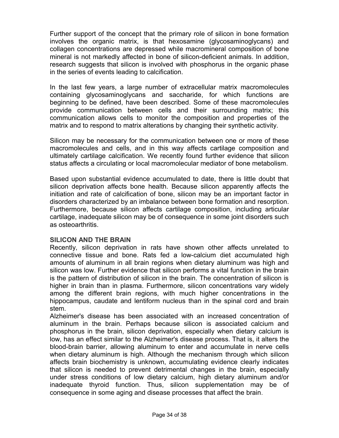Further support of the concept that the primary role of silicon in bone formation involves the organic matrix, is that hexosamine (glycosaminoglycans) and collagen concentrations are depressed while macromineral composition of bone mineral is not markedly affected in bone of silicon-deficient animals. In addition, research suggests that silicon is involved with phosphorus in the organic phase in the series of events leading to calcification.

In the last few years, a large number of extracellular matrix macromolecules containing glycosaminoglycans and saccharide, for which functions are beginning to be defined, have been described. Some of these macromolecules provide communication between cells and their surrounding matrix; this communication allows cells to monitor the composition and properties of the matrix and to respond to matrix alterations by changing their synthetic activity.

Silicon may be necessary for the communication between one or more of these macromolecules and cells, and in this way affects cartilage composition and ultimately cartilage calcification. We recently found further evidence that silicon status affects a circulating or local macromolecular mediator of bone metabolism.

Based upon substantial evidence accumulated to date, there is little doubt that silicon deprivation affects bone health. Because silicon apparently affects the initiation and rate of calcification of bone, silicon may be an important factor in disorders characterized by an imbalance between bone formation and resorption. Furthermore, because silicon affects cartilage composition, including articular cartilage, inadequate silicon may be of consequence in some joint disorders such as osteoarthritis.

## **SILICON AND THE BRAIN**

Recently, silicon deprivation in rats have shown other affects unrelated to connective tissue and bone. Rats fed a low-calcium diet accumulated high amounts of aluminum in all brain regions when dietary aluminum was high and silicon was low. Further evidence that silicon performs a vital function in the brain is the pattern of distribution of silicon in the brain. The concentration of silicon is higher in brain than in plasma. Furthermore, silicon concentrations vary widely among the different brain regions, with much higher concentrations in the hippocampus, caudate and lentiform nucleus than in the spinal cord and brain stem.

Alzheimer's disease has been associated with an increased concentration of aluminum in the brain. Perhaps because silicon is associated calcium and phosphorus in the brain, silicon deprivation, especially when dietary calcium is low, has an effect similar to the Alzheimer's disease process. That is, it alters the blood-brain barrier, allowing aluminum to enter and accumulate in nerve cells when dietary aluminum is high. Although the mechanism through which silicon affects brain biochemistry is unknown, accumulating evidence clearly indicates that silicon is needed to prevent detrimental changes in the brain, especially under stress conditions of low dietary calcium, high dietary aluminum and/or inadequate thyroid function. Thus, silicon supplementation may be of consequence in some aging and disease processes that affect the brain.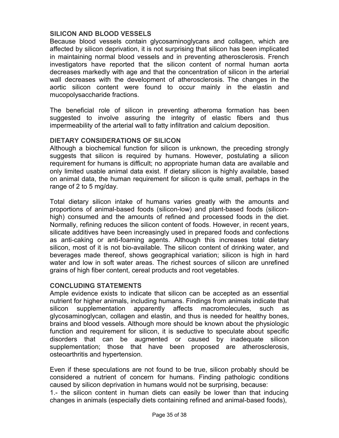## **SILICON AND BLOOD VESSELS**

Because blood vessels contain glycosaminoglycans and collagen, which are affected by silicon deprivation, it is not surprising that silicon has been implicated in maintaining normal blood vessels and in preventing atherosclerosis. French investigators have reported that the silicon content of normal human aorta decreases markedly with age and that the concentration of silicon in the arterial wall decreases with the development of atherosclerosis. The changes in the aortic silicon content were found to occur mainly in the elastin and mucopolysaccharide fractions.

The beneficial role of silicon in preventing atheroma formation has been suggested to involve assuring the integrity of elastic fibers and thus impermeability of the arterial wall to fatty infiltration and calcium deposition.

## **DIETARY CONSIDERATIONS OF SILICON**

Although a biochemical function for silicon is unknown, the preceding strongly suggests that silicon is required by humans. However, postulating a silicon requirement for humans is difficult; no appropriate human data are available and only limited usable animal data exist. If dietary silicon is highly available, based on animal data, the human requirement for silicon is quite small, perhaps in the range of 2 to 5 mg/day.

Total dietary silicon intake of humans varies greatly with the amounts and proportions of animal-based foods (silicon-low) and plant-based foods (siliconhigh) consumed and the amounts of refined and processed foods in the diet. Normally, refining reduces the silicon content of foods. However, in recent years, silicate additives have been increasingly used in prepared foods and confections as anti-caking or anti-foaming agents. Although this increases total dietary silicon, most of it is not bio-available. The silicon content of drinking water, and beverages made thereof, shows geographical variation; silicon is high in hard water and low in soft water areas. The richest sources of silicon are unrefined grains of high fiber content, cereal products and root vegetables.

## **CONCLUDING STATEMENTS**

Ample evidence exists to indicate that silicon can be accepted as an essential nutrient for higher animals, including humans. Findings from animals indicate that silicon supplementation apparently affects macromolecules, such as glycosaminoglycan, collagen and elastin, and thus is needed for healthy bones, brains and blood vessels. Although more should be known about the physiologic function and requirement for silicon, it is seductive to speculate about specific disorders that can be augmented or caused by inadequate silicon supplementation; those that have been proposed are atherosclerosis, osteoarthritis and hypertension.

Even if these speculations are not found to be true, silicon probably should be considered a nutrient of concern for humans. Finding pathologic conditions caused by silicon deprivation in humans would not be surprising, because:

1.- the silicon content in human diets can easily be lower than that inducing changes in animals (especially diets containing refined and animal-based foods),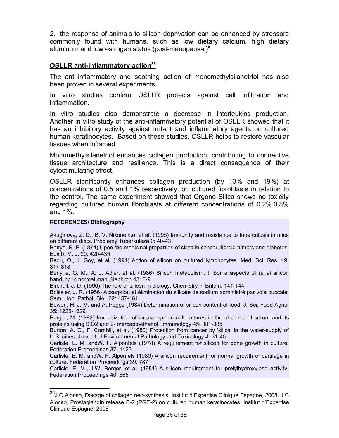2.- the response of animals to silicon deprivation can be enhanced by stressors commonly found with humans, such as low dietary calcium, high dietary aluminum and low estrogen status (post-menopausal)".

## **OSLLR anti-inflammatory action[35](#page-35-0)**

The anti-inflammatory and soothing action of monomethylsilanetriol has also been proven in several experiments.

In vitro studies confirm OSLLR protects against cell infiltration and inflammation.

In vitro studies also demonstrate a decrease in interleukins production. Another in vitro study of the anti-inflammatory potential of OSLLR showed that it has an inhibitory activity against irritant and inflammatory agents on cultured human keratinocytes. Based on these studies, OSLLR helps to restore vascular tissues when inflamed.

Monomethylsilanetriol enhances collagen production, contributing to connective tissue architecture and resilience. This is a direct consequence of their cytostimulating effect.

OSLLR significantly enhances collagen production (by 13% and 19%) at concentrations of 0.5 and 1% respectively, on cultured fibroblasts in relation to the control. The same experiment showed that Orgono Silica shows no toxicity regarding cultured human fibroblasts at different concentrations of 0.2%,0.5% and 1%.

### **REFERENCES/ Bibliography**

Akuginova, Z. D., B. V. Nikonenko, et al. (1995) Immunity and resistance to tuberculosis in mice on different diets. Problemy Tuberkuleza 0: 40-43

Battye, R. F. (1874) Upon the medicinal properties of silica in cancer, fibroid tumors and diabetes. Edinb. M. J. 20: 420-435

Bedu, O., J. Goy, et al. (1991) Action of silicon on cultured lymphocytes. Med. Sci. Res. 19: 317-318

Berlyne, G. M., A. J. Adler, et al. (1986) Silicon metabolism. I. Some aspects of renal silicon handling in normal man. Nephron 43: 5-9

Birchall, J. D. (1990) The role of silicon in biology. Chemistry in Britain: 141-144

Boissier, J. R. (1956) Absorption et élimination du silicate de sodium administré par voie buccale. Sem. Hop. Pathol. Biol. 32: 457-461

Bowen, H. J. M. and A. Peggs (1984) Determination of silicon content of food. J. Sci. Food Agric. 35: 1225-1229

Burger, M. (1982) Immunization of mouse spleen cell cultures in the absence of serum and its proteins using SiO2 and 2- mercaptoethanol. Immunology 45: 381-385

Burton, A. C., F. Cornhill, et al. (1980) Protection from cancer by 'silica' in the water-supply of U.S. cities. Journal of Environmental Pathology and Toxicology 4: 31-40

Carlisle, E. M. andW. F. Alpenfels (1978) A requirement for silicon for bone growth in culture. Federation Proceedings 37: 1123

Carlisle, E. M. andW. F. Alpenfels (1980) A silicon requirement for normal growth of cartilage in culture. Federation Proceedings 39: 787

Carlisle, E. M., J.W. Berger, et al. (1981) A silicon requirement for prolylhydroxylase activity. Federation Proceedings 40: 866

<span id="page-35-0"></span><sup>35</sup>J.C Alonso, Dosage of collagen neo-synthesis. Institut d'Expertise Clinique Espagne, 2008. J.C Alonso, Prostaglandin release E-2 (PGE-2) on cultured human keratinocytes. Institut d'Expertise Clinique Espagne, 2008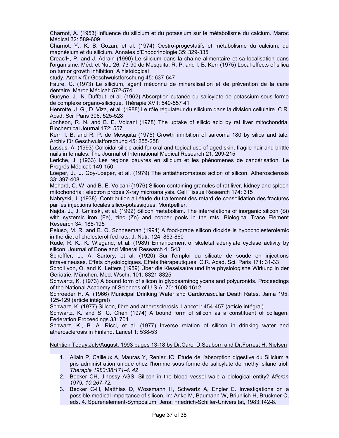Charnot, A. (1953) Influence du silicium et du potassium sur le métabolisme du calcium. Maroc Médical 32: 589-609

Charnot, Y., K. B. Gozan, et al. (1974) Oestro-progestatifs et métabolisme du calcium, du magnésium et du silicium. Annales d'Endocrinologie 35: 329-335

Creac'H, P. and J. Adrain (1990) Le silicium dans la chaîne alimentaire et sa localisation dans l'organisme. Méd. et Nut. 26: 73-90 de Mesquita, R. P. and I. B. Kerr (1975) Local effects of silica on tumor growth inhibition. A histological

study. Archiv für Geschwulstforschung 45: 637-647

Faure, C. (1973) Le silicium, agent méconnu de minéralisation et de prévention de la carie dentaire. Maroc Médical: 572-574

Gueyne, J., N. Duffaut, et al. (1962) Absorption cutanée du salicylate de potassium sous forme de complexe organo-silicique. Thérapie XVII: 549-557 41

Henrotte, J. G., D. Viza, et al. (1988) Le rôle régulateur du silicium dans la division cellulaire. C.R. Acad. Sci. Paris 306: 525-528

Jonhson, R. N. and B. E. Volcani (1978) The uptake of silicic acid by rat liver mitochondria. Biochemical Journal 172: 557

Kerr, I. B. and R. P. de Mesquita (1975) Growth inhibition of sarcoma 180 by silica and talc. Archiv für Geschwulstforschung 45: 255-258

Lassus, A. (1993) Colloidal silicic acid for oral and topical use of aged skin, fragile hair and brittle nails in females. The Journal of International Medical Research 21: 209-215

Leriche, J. (1933) Les régions pauvres en silicium et les phénomenes de cancérisation. Le Progrés Médical: 149-150

Loeper, J., J. Goy-Loeper, et al. (1979) The antiatheromatous action of silicon. Atherosclerosis 33: 397-408

Mehard, C. W. and B. E. Volcani (1976) Silicon-containing granules of rat liver, kidney and spleen mitochondria : electron probes X-ray microanalysis. Cell Tissue Research 174: 315

Nabryski, J. (1938). Contribution a l'étude du traitement des retard de consolidation des fractures par les injections focales silico-potassiques. Montpellier.

Najda, J., J. Gminski, et al. (1992) Silicon metabolism. The interrelations of inorganic silicon (Si) with systemic iron (Fe), zinc (Zn) and copper pools in the rats. Biological Trace Element Research 34: 185-195

Peluso, M. R. and B. O. Schneeman (1994) A food-grade silicon dioxide is hypocholesterolemic in the diet of cholesterol-fed rats. J. Nutr. 124: 853-860

Rude, R. K., K. Wiegand, et al. (1989) Enhancement of skeletal adenylate cyclase activity by silicon. Journal of Bone and Mineral Research 4: S431

Scheffler, L., A. Sartory, et al. (1920) Sur l'emploi du silicate de soude en injections intraveineuses. Effets physiologiques. Effets thérapeutiques. C.R. Acad. Sci. Paris 171: 31-33

Scholl von, O. and K. Letters (1959) Über die Kieselsaüre und ihre physiologishe Wirkung in der Geriatrie. München. Med. Wschr. 101: 8321-8325

Schwartz, K. (1973) A bound form of silicon in glycosaminoglycans and polyuronids. Proceedings of the National Academy of Sciences of U.S.A. 70: 1608-1612

Schroeder H. A. (1966) Municipal Drinking Water and Cardiovascular Death Rates. Jama 195: 125-129 (article intégral)

Schwarz, K. (1977) Silicon, fibre and atherosclerosis. Lancet i: 454-457 (article intégral)

Schwartz, K. and S. C. Chen (1974) A bound form of silicon as a constituent of collagen. Federation Proceedings 33: 704

Schwarz, K., B. A. Ricci, et al. (1977) Inverse relation of silicon in drinking water and atherosclerosis in Finland. Lancet 1: 538-53

#### Nutrition Today,July/August, 1993 pages 13-18 by Dr.Carol D.Seaborn and Dr.Forrest H. Nielsen

- 1. Allain P, Cailleux A, Mauras Y, Renier JC. Etude de l'absorption digestive du Silicium a pris administration unique chez l'homme sous forme de salicylate de methyl silane triol. *Therapie 1983;38:171-4. 42*
- 2. Becker CH, Jinossy AGS. Silicon in the blood vessel wall: a biological entity? *Micron 1979; 10:267-72.*
- 3. Becker C-H, Matthias D, Wossmann H, Schwartz A, Engler E. Investigations on a possible medical importance of silicon. In: Anke M, Baumann W, Briunlich H, Bruckner C, eds. 4. Spurenelement-Symposium. Jena: Friedrich-Schiller-Universitat, 1983;142-8.